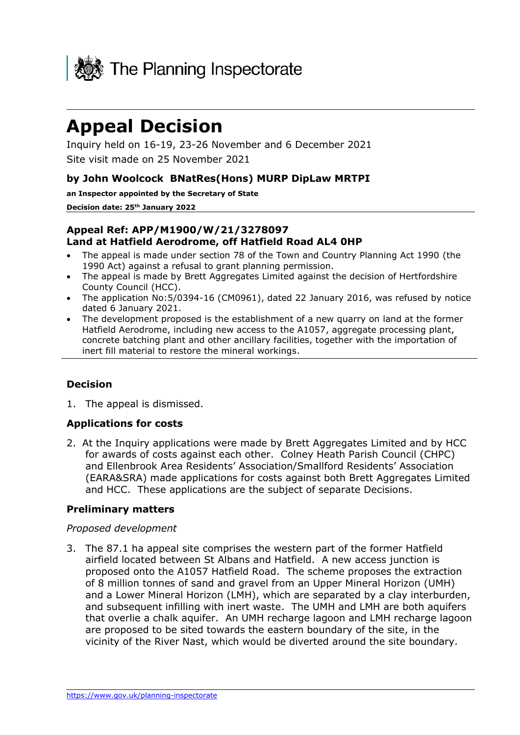

# **Appeal Decision**

Inquiry held on 16-19, 23-26 November and 6 December 2021 Site visit made on 25 November 2021

#### **by John Woolcock BNatRes(Hons) MURP DipLaw MRTPI**

**an Inspector appointed by the Secretary of State**

**Decision date: 25th January 2022**

## **Appeal Ref: APP/M1900/W/21/3278097 Land at Hatfield Aerodrome, off Hatfield Road AL4 0HP**

- The appeal is made under section 78 of the Town and Country Planning Act 1990 (the 1990 Act) against a refusal to grant planning permission.
- The appeal is made by Brett Aggregates Limited against the decision of Hertfordshire County Council (HCC).
- The application No:5/0394-16 (CM0961), dated 22 January 2016, was refused by notice dated 6 January 2021.
- The development proposed is the establishment of a new quarry on land at the former Hatfield Aerodrome, including new access to the A1057, aggregate processing plant, concrete batching plant and other ancillary facilities, together with the importation of inert fill material to restore the mineral workings.

# **Decision**

1. The appeal is dismissed.

#### **Applications for costs**

2. At the Inquiry applications were made by Brett Aggregates Limited and by HCC for awards of costs against each other. Colney Heath Parish Council (CHPC) and Ellenbrook Area Residents' Association/Smallford Residents' Association (EARA&SRA) made applications for costs against both Brett Aggregates Limited and HCC. These applications are the subject of separate Decisions.

#### **Preliminary matters**

#### *Proposed development*

3. The 87.1 ha appeal site comprises the western part of the former Hatfield airfield located between St Albans and Hatfield. A new access junction is proposed onto the A1057 Hatfield Road. The scheme proposes the extraction of 8 million tonnes of sand and gravel from an Upper Mineral Horizon (UMH) and a Lower Mineral Horizon (LMH), which are separated by a clay interburden, and subsequent infilling with inert waste. The UMH and LMH are both aquifers that overlie a chalk aquifer. An UMH recharge lagoon and LMH recharge lagoon are proposed to be sited towards the eastern boundary of the site, in the vicinity of the River Nast, which would be diverted around the site boundary.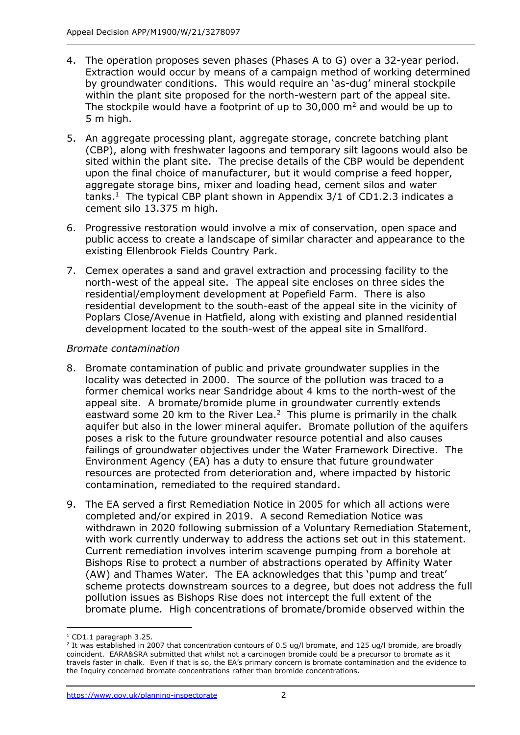- 4. The operation proposes seven phases (Phases A to G) over a 32-year period. Extraction would occur by means of a campaign method of working determined by groundwater conditions. This would require an 'as-dug' mineral stockpile within the plant site proposed for the north-western part of the appeal site. The stockpile would have a footprint of up to 30,000  $m^2$  and would be up to 5 m high.
- 5. An aggregate processing plant, aggregate storage, concrete batching plant (CBP), along with freshwater lagoons and temporary silt lagoons would also be sited within the plant site. The precise details of the CBP would be dependent upon the final choice of manufacturer, but it would comprise a feed hopper, aggregate storage bins, mixer and loading head, cement silos and water tanks.<sup>1</sup> The typical CBP plant shown in Appendix  $3/1$  of CD1.2.3 indicates a cement silo 13.375 m high.
- 6. Progressive restoration would involve a mix of conservation, open space and public access to create a landscape of similar character and appearance to the existing Ellenbrook Fields Country Park.
- 7. Cemex operates a sand and gravel extraction and processing facility to the north-west of the appeal site. The appeal site encloses on three sides the residential/employment development at Popefield Farm. There is also residential development to the south-east of the appeal site in the vicinity of Poplars Close/Avenue in Hatfield, along with existing and planned residential development located to the south-west of the appeal site in Smallford.

## *Bromate contamination*

- 8. Bromate contamination of public and private groundwater supplies in the locality was detected in 2000. The source of the pollution was traced to a former chemical works near Sandridge about 4 kms to the north-west of the appeal site. A bromate/bromide plume in groundwater currently extends eastward some 20 km to the River Lea. $<sup>2</sup>$  This plume is primarily in the chalk</sup> aquifer but also in the lower mineral aquifer. Bromate pollution of the aquifers poses a risk to the future groundwater resource potential and also causes failings of groundwater objectives under the Water Framework Directive. The Environment Agency (EA) has a duty to ensure that future groundwater resources are protected from deterioration and, where impacted by historic contamination, remediated to the required standard.
- 9. The EA served a first Remediation Notice in 2005 for which all actions were completed and/or expired in 2019. A second Remediation Notice was withdrawn in 2020 following submission of a Voluntary Remediation Statement, with work currently underway to address the actions set out in this statement. Current remediation involves interim scavenge pumping from a borehole at Bishops Rise to protect a number of abstractions operated by Affinity Water (AW) and Thames Water. The EA acknowledges that this 'pump and treat' scheme protects downstream sources to a degree, but does not address the full pollution issues as Bishops Rise does not intercept the full extent of the bromate plume. High concentrations of bromate/bromide observed within the

 $1$  CD1.1 paragraph 3.25.

<sup>&</sup>lt;sup>2</sup> It was established in 2007 that concentration contours of 0.5 ug/l bromate, and 125 ug/l bromide, are broadly coincident. EARA&SRA submitted that whilst not a carcinogen bromide could be a precursor to bromate as it travels faster in chalk. Even if that is so, the EA's primary concern is bromate contamination and the evidence to the Inquiry concerned bromate concentrations rather than bromide concentrations.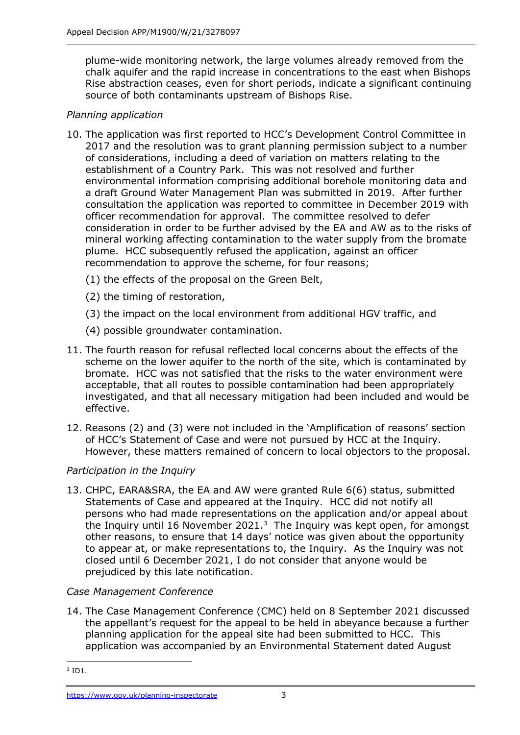plume-wide monitoring network, the large volumes already removed from the chalk aquifer and the rapid increase in concentrations to the east when Bishops Rise abstraction ceases, even for short periods, indicate a significant continuing source of both contaminants upstream of Bishops Rise.

# *Planning application*

- 10. The application was first reported to HCC's Development Control Committee in 2017 and the resolution was to grant planning permission subject to a number of considerations, including a deed of variation on matters relating to the establishment of a Country Park. This was not resolved and further environmental information comprising additional borehole monitoring data and a draft Ground Water Management Plan was submitted in 2019. After further consultation the application was reported to committee in December 2019 with officer recommendation for approval. The committee resolved to defer consideration in order to be further advised by the EA and AW as to the risks of mineral working affecting contamination to the water supply from the bromate plume. HCC subsequently refused the application, against an officer recommendation to approve the scheme, for four reasons;
	- (1) the effects of the proposal on the Green Belt,
	- (2) the timing of restoration,
	- (3) the impact on the local environment from additional HGV traffic, and
	- (4) possible groundwater contamination.
- 11. The fourth reason for refusal reflected local concerns about the effects of the scheme on the lower aquifer to the north of the site, which is contaminated by bromate. HCC was not satisfied that the risks to the water environment were acceptable, that all routes to possible contamination had been appropriately investigated, and that all necessary mitigation had been included and would be effective.
- 12. Reasons (2) and (3) were not included in the 'Amplification of reasons' section of HCC's Statement of Case and were not pursued by HCC at the Inquiry. However, these matters remained of concern to local objectors to the proposal.

# *Participation in the Inquiry*

13. CHPC, EARA&SRA, the EA and AW were granted Rule 6(6) status, submitted Statements of Case and appeared at the Inquiry. HCC did not notify all persons who had made representations on the application and/or appeal about the Inquiry until 16 November 2021. $3$  The Inquiry was kept open, for amongst other reasons, to ensure that 14 days' notice was given about the opportunity to appear at, or make representations to, the Inquiry. As the Inquiry was not closed until 6 December 2021, I do not consider that anyone would be prejudiced by this late notification.

# *Case Management Conference*

14. The Case Management Conference (CMC) held on 8 September 2021 discussed the appellant's request for the appeal to be held in abeyance because a further planning application for the appeal site had been submitted to HCC. This application was accompanied by an Environmental Statement dated August

 $3$  ID1.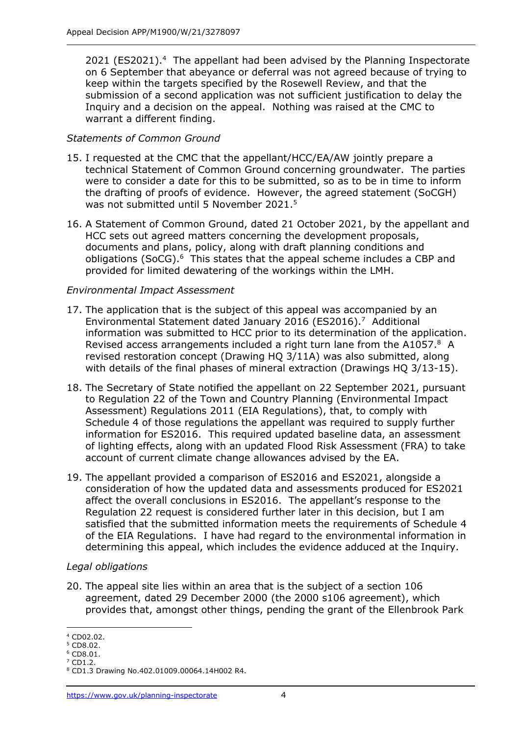2021 (ES2021).<sup>4</sup> The appellant had been advised by the Planning Inspectorate on 6 September that abeyance or deferral was not agreed because of trying to keep within the targets specified by the Rosewell Review, and that the submission of a second application was not sufficient justification to delay the Inquiry and a decision on the appeal. Nothing was raised at the CMC to warrant a different finding.

## *Statements of Common Ground*

- 15. I requested at the CMC that the appellant/HCC/EA/AW jointly prepare a technical Statement of Common Ground concerning groundwater. The parties were to consider a date for this to be submitted, so as to be in time to inform the drafting of proofs of evidence. However, the agreed statement (SoCGH) was not submitted until 5 November 2021.<sup>5</sup>
- 16. A Statement of Common Ground, dated 21 October 2021, by the appellant and HCC sets out agreed matters concerning the development proposals, documents and plans, policy, along with draft planning conditions and obligations (SoCG).<sup>6</sup> This states that the appeal scheme includes a CBP and provided for limited dewatering of the workings within the LMH.

#### *Environmental Impact Assessment*

- 17. The application that is the subject of this appeal was accompanied by an Environmental Statement dated January 2016 (ES2016). 7 Additional information was submitted to HCC prior to its determination of the application. Revised access arrangements included a right turn lane from the A1057.8 A revised restoration concept (Drawing HQ 3/11A) was also submitted, along with details of the final phases of mineral extraction (Drawings HO 3/13-15).
- 18. The Secretary of State notified the appellant on 22 September 2021, pursuant to Regulation 22 of the Town and Country Planning (Environmental Impact Assessment) Regulations 2011 (EIA Regulations), that, to comply with Schedule 4 of those regulations the appellant was required to supply further information for ES2016. This required updated baseline data, an assessment of lighting effects, along with an updated Flood Risk Assessment (FRA) to take account of current climate change allowances advised by the EA.
- 19. The appellant provided a comparison of ES2016 and ES2021, alongside a consideration of how the updated data and assessments produced for ES2021 affect the overall conclusions in ES2016. The appellant's response to the Regulation 22 request is considered further later in this decision, but I am satisfied that the submitted information meets the requirements of Schedule 4 of the EIA Regulations. I have had regard to the environmental information in determining this appeal, which includes the evidence adduced at the Inquiry.

#### *Legal obligations*

20. The appeal site lies within an area that is the subject of a section 106 agreement, dated 29 December 2000 (the 2000 s106 agreement), which provides that, amongst other things, pending the grant of the Ellenbrook Park

<sup>4</sup> CD02.02.

<sup>5</sup> CD8.02.

<sup>6</sup> CD8.01.  $7$  CD1.2.

<sup>8</sup> CD1.3 Drawing No.402.01009.00064.14H002 R4.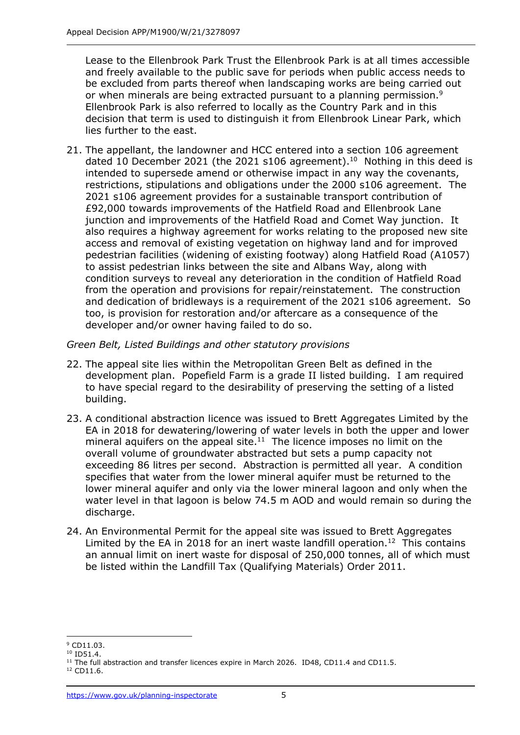Lease to the Ellenbrook Park Trust the Ellenbrook Park is at all times accessible and freely available to the public save for periods when public access needs to be excluded from parts thereof when landscaping works are being carried out or when minerals are being extracted pursuant to a planning permission.<sup>9</sup> Ellenbrook Park is also referred to locally as the Country Park and in this decision that term is used to distinguish it from Ellenbrook Linear Park, which lies further to the east.

21. The appellant, the landowner and HCC entered into a section 106 agreement dated 10 December 2021 (the 2021 s106 agreement).<sup>10</sup> Nothing in this deed is intended to supersede amend or otherwise impact in any way the covenants, restrictions, stipulations and obligations under the 2000 s106 agreement. The 2021 s106 agreement provides for a sustainable transport contribution of £92,000 towards improvements of the Hatfield Road and Ellenbrook Lane junction and improvements of the Hatfield Road and Comet Way junction. It also requires a highway agreement for works relating to the proposed new site access and removal of existing vegetation on highway land and for improved pedestrian facilities (widening of existing footway) along Hatfield Road (A1057) to assist pedestrian links between the site and Albans Way, along with condition surveys to reveal any deterioration in the condition of Hatfield Road from the operation and provisions for repair/reinstatement. The construction and dedication of bridleways is a requirement of the 2021 s106 agreement. So too, is provision for restoration and/or aftercare as a consequence of the developer and/or owner having failed to do so.

*Green Belt, Listed Buildings and other statutory provisions*

- 22. The appeal site lies within the Metropolitan Green Belt as defined in the development plan. Popefield Farm is a grade II listed building. I am required to have special regard to the desirability of preserving the setting of a listed building.
- 23. A conditional abstraction licence was issued to Brett Aggregates Limited by the EA in 2018 for dewatering/lowering of water levels in both the upper and lower mineral aquifers on the appeal site. $11$  The licence imposes no limit on the overall volume of groundwater abstracted but sets a pump capacity not exceeding 86 litres per second. Abstraction is permitted all year. A condition specifies that water from the lower mineral aquifer must be returned to the lower mineral aquifer and only via the lower mineral lagoon and only when the water level in that lagoon is below 74.5 m AOD and would remain so during the discharge.
- 24. An Environmental Permit for the appeal site was issued to Brett Aggregates Limited by the EA in 2018 for an inert waste landfill operation.<sup>12</sup> This contains an annual limit on inert waste for disposal of 250,000 tonnes, all of which must be listed within the Landfill Tax (Qualifying Materials) Order 2011.

<sup>&</sup>lt;sup>9</sup> CD11.03.

<sup>&</sup>lt;sup>10</sup> ID51.4.

<sup>&</sup>lt;sup>11</sup> The full abstraction and transfer licences expire in March 2026. ID48, CD11.4 and CD11.5.

<sup>12</sup> CD11.6.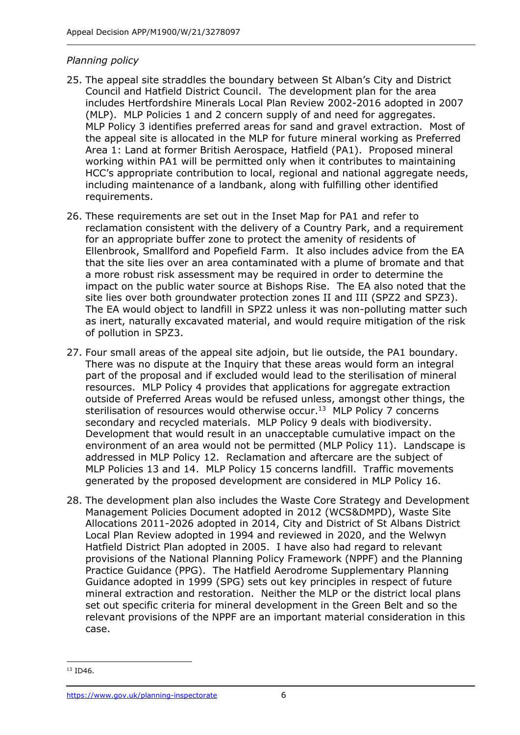## *Planning policy*

- 25. The appeal site straddles the boundary between St Alban's City and District Council and Hatfield District Council. The development plan for the area includes Hertfordshire Minerals Local Plan Review 2002-2016 adopted in 2007 (MLP). MLP Policies 1 and 2 concern supply of and need for aggregates. MLP Policy 3 identifies preferred areas for sand and gravel extraction. Most of the appeal site is allocated in the MLP for future mineral working as Preferred Area 1: Land at former British Aerospace, Hatfield (PA1). Proposed mineral working within PA1 will be permitted only when it contributes to maintaining HCC's appropriate contribution to local, regional and national aggregate needs, including maintenance of a landbank, along with fulfilling other identified requirements.
- 26. These requirements are set out in the Inset Map for PA1 and refer to reclamation consistent with the delivery of a Country Park, and a requirement for an appropriate buffer zone to protect the amenity of residents of Ellenbrook, Smallford and Popefield Farm. It also includes advice from the EA that the site lies over an area contaminated with a plume of bromate and that a more robust risk assessment may be required in order to determine the impact on the public water source at Bishops Rise. The EA also noted that the site lies over both groundwater protection zones II and III (SPZ2 and SPZ3). The EA would object to landfill in SPZ2 unless it was non-polluting matter such as inert, naturally excavated material, and would require mitigation of the risk of pollution in SPZ3.
- 27. Four small areas of the appeal site adjoin, but lie outside, the PA1 boundary. There was no dispute at the Inquiry that these areas would form an integral part of the proposal and if excluded would lead to the sterilisation of mineral resources. MLP Policy 4 provides that applications for aggregate extraction outside of Preferred Areas would be refused unless, amongst other things, the sterilisation of resources would otherwise occur.<sup>13</sup> MLP Policy 7 concerns secondary and recycled materials. MLP Policy 9 deals with biodiversity. Development that would result in an unacceptable cumulative impact on the environment of an area would not be permitted (MLP Policy 11). Landscape is addressed in MLP Policy 12. Reclamation and aftercare are the subject of MLP Policies 13 and 14. MLP Policy 15 concerns landfill. Traffic movements generated by the proposed development are considered in MLP Policy 16.
- 28. The development plan also includes the Waste Core Strategy and Development Management Policies Document adopted in 2012 (WCS&DMPD), Waste Site Allocations 2011-2026 adopted in 2014, City and District of St Albans District Local Plan Review adopted in 1994 and reviewed in 2020, and the Welwyn Hatfield District Plan adopted in 2005. I have also had regard to relevant provisions of the National Planning Policy Framework (NPPF) and the Planning Practice Guidance (PPG). The Hatfield Aerodrome Supplementary Planning Guidance adopted in 1999 (SPG) sets out key principles in respect of future mineral extraction and restoration. Neither the MLP or the district local plans set out specific criteria for mineral development in the Green Belt and so the relevant provisions of the NPPF are an important material consideration in this case.

<sup>&</sup>lt;sup>13</sup> ID46.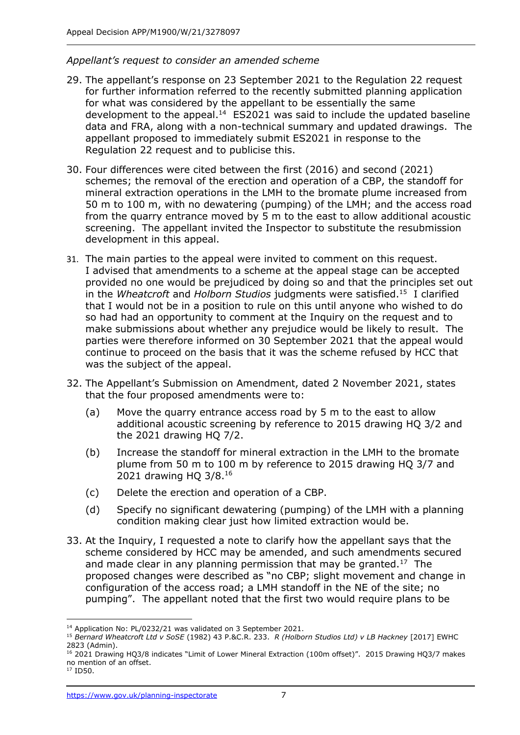#### *Appellant's request to consider an amended scheme*

- 29. The appellant's response on 23 September 2021 to the Regulation 22 request for further information referred to the recently submitted planning application for what was considered by the appellant to be essentially the same development to the appeal.<sup>14</sup>  $ES2021$  was said to include the updated baseline data and FRA, along with a non-technical summary and updated drawings. The appellant proposed to immediately submit ES2021 in response to the Regulation 22 request and to publicise this.
- 30. Four differences were cited between the first (2016) and second (2021) schemes; the removal of the erection and operation of a CBP, the standoff for mineral extraction operations in the LMH to the bromate plume increased from 50 m to 100 m, with no dewatering (pumping) of the LMH; and the access road from the quarry entrance moved by 5 m to the east to allow additional acoustic screening. The appellant invited the Inspector to substitute the resubmission development in this appeal.
- 31. The main parties to the appeal were invited to comment on this request. I advised that amendments to a scheme at the appeal stage can be accepted provided no one would be prejudiced by doing so and that the principles set out in the *Wheatcroft* and *Holborn Studios* judgments were satisfied.<sup>15</sup> I clarified that I would not be in a position to rule on this until anyone who wished to do so had had an opportunity to comment at the Inquiry on the request and to make submissions about whether any prejudice would be likely to result. The parties were therefore informed on 30 September 2021 that the appeal would continue to proceed on the basis that it was the scheme refused by HCC that was the subject of the appeal.
- 32. The Appellant's Submission on Amendment, dated 2 November 2021, states that the four proposed amendments were to:
	- (a) Move the quarry entrance access road by 5 m to the east to allow additional acoustic screening by reference to 2015 drawing HQ 3/2 and the 2021 drawing HQ 7/2.
	- (b) Increase the standoff for mineral extraction in the LMH to the bromate plume from 50 m to 100 m by reference to 2015 drawing HQ 3/7 and 2021 drawing HQ 3/8.<sup>16</sup>
	- (c) Delete the erection and operation of a CBP.
	- (d) Specify no significant dewatering (pumping) of the LMH with a planning condition making clear just how limited extraction would be.
- 33. At the Inquiry, I requested a note to clarify how the appellant says that the scheme considered by HCC may be amended, and such amendments secured and made clear in any planning permission that may be granted.<sup>17</sup> The proposed changes were described as "no CBP; slight movement and change in configuration of the access road; a LMH standoff in the NE of the site; no pumping". The appellant noted that the first two would require plans to be

<sup>14</sup> Application No: PL/0232/21 was validated on 3 September 2021.

<sup>15</sup> *Bernard Wheatcroft Ltd v SoSE* (1982) 43 P.&C.R. 233. *R (Holborn Studios Ltd) v LB Hackney* [2017] EWHC 2823 (Admin).

<sup>&</sup>lt;sup>16</sup> 2021 Drawing HQ3/8 indicates "Limit of Lower Mineral Extraction (100m offset)". 2015 Drawing HQ3/7 makes no mention of an offset.

<sup>17</sup> ID50.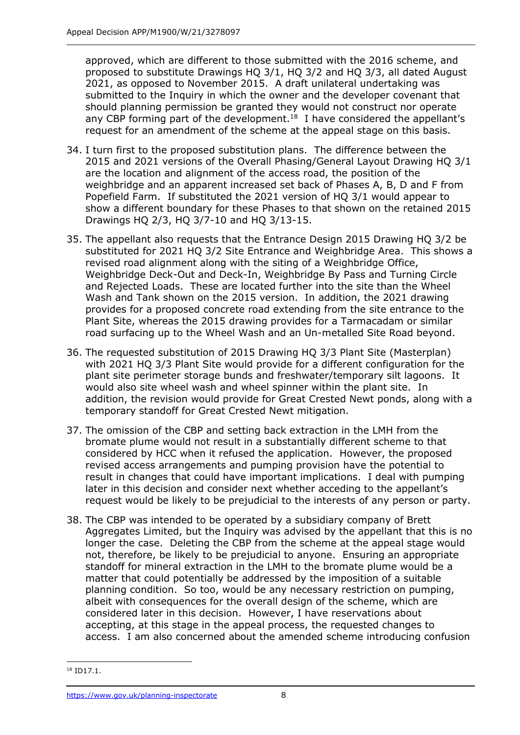approved, which are different to those submitted with the 2016 scheme, and proposed to substitute Drawings HQ 3/1, HQ 3/2 and HQ 3/3, all dated August 2021, as opposed to November 2015. A draft unilateral undertaking was submitted to the Inquiry in which the owner and the developer covenant that should planning permission be granted they would not construct nor operate any CBP forming part of the development.<sup>18</sup> I have considered the appellant's request for an amendment of the scheme at the appeal stage on this basis.

- 34. I turn first to the proposed substitution plans. The difference between the 2015 and 2021 versions of the Overall Phasing/General Layout Drawing HQ 3/1 are the location and alignment of the access road, the position of the weighbridge and an apparent increased set back of Phases A, B, D and F from Popefield Farm. If substituted the 2021 version of HQ 3/1 would appear to show a different boundary for these Phases to that shown on the retained 2015 Drawings HQ 2/3, HQ 3/7-10 and HQ 3/13-15.
- 35. The appellant also requests that the Entrance Design 2015 Drawing HQ 3/2 be substituted for 2021 HQ 3/2 Site Entrance and Weighbridge Area. This shows a revised road alignment along with the siting of a Weighbridge Office, Weighbridge Deck-Out and Deck-In, Weighbridge By Pass and Turning Circle and Rejected Loads. These are located further into the site than the Wheel Wash and Tank shown on the 2015 version. In addition, the 2021 drawing provides for a proposed concrete road extending from the site entrance to the Plant Site, whereas the 2015 drawing provides for a Tarmacadam or similar road surfacing up to the Wheel Wash and an Un-metalled Site Road beyond.
- 36. The requested substitution of 2015 Drawing HQ 3/3 Plant Site (Masterplan) with 2021 HQ 3/3 Plant Site would provide for a different configuration for the plant site perimeter storage bunds and freshwater/temporary silt lagoons. It would also site wheel wash and wheel spinner within the plant site. In addition, the revision would provide for Great Crested Newt ponds, along with a temporary standoff for Great Crested Newt mitigation.
- 37. The omission of the CBP and setting back extraction in the LMH from the bromate plume would not result in a substantially different scheme to that considered by HCC when it refused the application. However, the proposed revised access arrangements and pumping provision have the potential to result in changes that could have important implications. I deal with pumping later in this decision and consider next whether acceding to the appellant's request would be likely to be prejudicial to the interests of any person or party.
- 38. The CBP was intended to be operated by a subsidiary company of Brett Aggregates Limited, but the Inquiry was advised by the appellant that this is no longer the case. Deleting the CBP from the scheme at the appeal stage would not, therefore, be likely to be prejudicial to anyone. Ensuring an appropriate standoff for mineral extraction in the LMH to the bromate plume would be a matter that could potentially be addressed by the imposition of a suitable planning condition. So too, would be any necessary restriction on pumping, albeit with consequences for the overall design of the scheme, which are considered later in this decision. However, I have reservations about accepting, at this stage in the appeal process, the requested changes to access. I am also concerned about the amended scheme introducing confusion

<sup>&</sup>lt;sup>18</sup> ID17.1.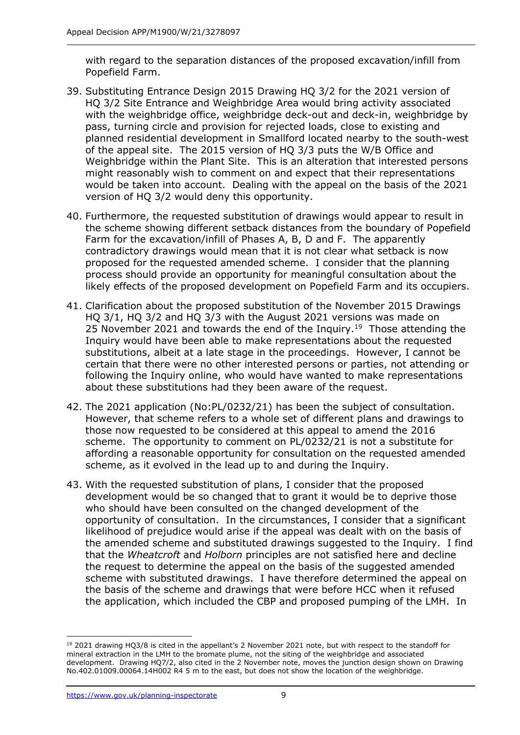with regard to the separation distances of the proposed excavation/infill from Popefield Farm.

- 39. Substituting Entrance Design 2015 Drawing HQ 3/2 for the 2021 version of HQ 3/2 Site Entrance and Weighbridge Area would bring activity associated with the weighbridge office, weighbridge deck-out and deck-in, weighbridge by pass, turning circle and provision for rejected loads, close to existing and planned residential development in Smallford located nearby to the south-west of the appeal site. The 2015 version of HQ 3/3 puts the W/B Office and Weighbridge within the Plant Site. This is an alteration that interested persons might reasonably wish to comment on and expect that their representations would be taken into account. Dealing with the appeal on the basis of the 2021 version of HQ 3/2 would deny this opportunity.
- 40. Furthermore, the requested substitution of drawings would appear to result in the scheme showing different setback distances from the boundary of Popefield Farm for the excavation/infill of Phases A, B, D and F. The apparently contradictory drawings would mean that it is not clear what setback is now proposed for the requested amended scheme. I consider that the planning process should provide an opportunity for meaningful consultation about the likely effects of the proposed development on Popefield Farm and its occupiers.
- 41. Clarification about the proposed substitution of the November 2015 Drawings HQ 3/1, HQ 3/2 and HQ 3/3 with the August 2021 versions was made on 25 November 2021 and towards the end of the Inquiry.<sup>19</sup> Those attending the Inquiry would have been able to make representations about the requested substitutions, albeit at a late stage in the proceedings. However, I cannot be certain that there were no other interested persons or parties, not attending or following the Inquiry online, who would have wanted to make representations about these substitutions had they been aware of the request.
- 42. The 2021 application (No:PL/0232/21) has been the subject of consultation. However, that scheme refers to a whole set of different plans and drawings to those now requested to be considered at this appeal to amend the 2016 scheme. The opportunity to comment on PL/0232/21 is not a substitute for affording a reasonable opportunity for consultation on the requested amended scheme, as it evolved in the lead up to and during the Inquiry.
- 43. With the requested substitution of plans, I consider that the proposed development would be so changed that to grant it would be to deprive those who should have been consulted on the changed development of the opportunity of consultation. In the circumstances, I consider that a significant likelihood of prejudice would arise if the appeal was dealt with on the basis of the amended scheme and substituted drawings suggested to the Inquiry. I find that the *Wheatcroft* and *Holborn* principles are not satisfied here and decline the request to determine the appeal on the basis of the suggested amended scheme with substituted drawings. I have therefore determined the appeal on the basis of the scheme and drawings that were before HCC when it refused the application, which included the CBP and proposed pumping of the LMH. In

<sup>&</sup>lt;sup>19</sup> 2021 drawing HQ3/8 is cited in the appellant's 2 November 2021 note, but with respect to the standoff for mineral extraction in the LMH to the bromate plume, not the siting of the weighbridge and associated development. Drawing HQ7/2, also cited in the 2 November note, moves the junction design shown on Drawing No.402.01009.00064.14H002 R4 5 m to the east, but does not show the location of the weighbridge.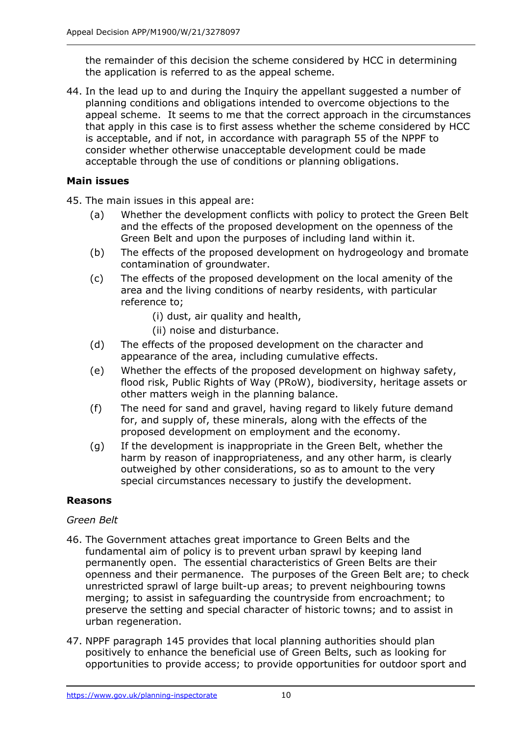the remainder of this decision the scheme considered by HCC in determining the application is referred to as the appeal scheme.

44. In the lead up to and during the Inquiry the appellant suggested a number of planning conditions and obligations intended to overcome objections to the appeal scheme. It seems to me that the correct approach in the circumstances that apply in this case is to first assess whether the scheme considered by HCC is acceptable, and if not, in accordance with paragraph 55 of the NPPF to consider whether otherwise unacceptable development could be made acceptable through the use of conditions or planning obligations.

# **Main issues**

45. The main issues in this appeal are:

- (a) Whether the development conflicts with policy to protect the Green Belt and the effects of the proposed development on the openness of the Green Belt and upon the purposes of including land within it.
- (b) The effects of the proposed development on hydrogeology and bromate contamination of groundwater.
- (c) The effects of the proposed development on the local amenity of the area and the living conditions of nearby residents, with particular reference to;
	- (i) dust, air quality and health,
	- (ii) noise and disturbance.
- (d) The effects of the proposed development on the character and appearance of the area, including cumulative effects.
- (e) Whether the effects of the proposed development on highway safety, flood risk, Public Rights of Way (PRoW), biodiversity, heritage assets or other matters weigh in the planning balance.
- (f) The need for sand and gravel, having regard to likely future demand for, and supply of, these minerals, along with the effects of the proposed development on employment and the economy.
- (g) If the development is inappropriate in the Green Belt, whether the harm by reason of inappropriateness, and any other harm, is clearly outweighed by other considerations, so as to amount to the very special circumstances necessary to justify the development.

# **Reasons**

#### *Green Belt*

- 46. The Government attaches great importance to Green Belts and the fundamental aim of policy is to prevent urban sprawl by keeping land permanently open. The essential characteristics of Green Belts are their openness and their permanence. The purposes of the Green Belt are; to check unrestricted sprawl of large built-up areas; to prevent neighbouring towns merging; to assist in safeguarding the countryside from encroachment; to preserve the setting and special character of historic towns; and to assist in urban regeneration.
- 47. NPPF paragraph 145 provides that local planning authorities should plan positively to enhance the beneficial use of Green Belts, such as looking for opportunities to provide access; to provide opportunities for outdoor sport and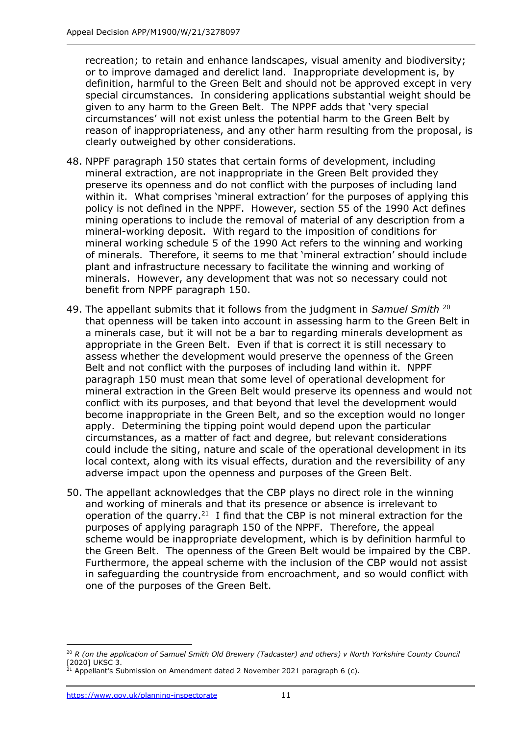recreation; to retain and enhance landscapes, visual amenity and biodiversity; or to improve damaged and derelict land. Inappropriate development is, by definition, harmful to the Green Belt and should not be approved except in very special circumstances. In considering applications substantial weight should be given to any harm to the Green Belt. The NPPF adds that 'very special circumstances' will not exist unless the potential harm to the Green Belt by reason of inappropriateness, and any other harm resulting from the proposal, is clearly outweighed by other considerations.

- 48. NPPF paragraph 150 states that certain forms of development, including mineral extraction, are not inappropriate in the Green Belt provided they preserve its openness and do not conflict with the purposes of including land within it. What comprises 'mineral extraction' for the purposes of applying this policy is not defined in the NPPF. However, section 55 of the 1990 Act defines mining operations to include the removal of material of any description from a mineral-working deposit. With regard to the imposition of conditions for mineral working schedule 5 of the 1990 Act refers to the winning and working of minerals. Therefore, it seems to me that 'mineral extraction' should include plant and infrastructure necessary to facilitate the winning and working of minerals. However, any development that was not so necessary could not benefit from NPPF paragraph 150.
- 49. The appellant submits that it follows from the judgment in *Samuel Smith* <sup>20</sup> that openness will be taken into account in assessing harm to the Green Belt in a minerals case, but it will not be a bar to regarding minerals development as appropriate in the Green Belt. Even if that is correct it is still necessary to assess whether the development would preserve the openness of the Green Belt and not conflict with the purposes of including land within it. NPPF paragraph 150 must mean that some level of operational development for mineral extraction in the Green Belt would preserve its openness and would not conflict with its purposes, and that beyond that level the development would become inappropriate in the Green Belt, and so the exception would no longer apply. Determining the tipping point would depend upon the particular circumstances, as a matter of fact and degree, but relevant considerations could include the siting, nature and scale of the operational development in its local context, along with its visual effects, duration and the reversibility of any adverse impact upon the openness and purposes of the Green Belt.
- 50. The appellant acknowledges that the CBP plays no direct role in the winning and working of minerals and that its presence or absence is irrelevant to operation of the quarry.<sup>21</sup> I find that the CBP is not mineral extraction for the purposes of applying paragraph 150 of the NPPF. Therefore, the appeal scheme would be inappropriate development, which is by definition harmful to the Green Belt. The openness of the Green Belt would be impaired by the CBP. Furthermore, the appeal scheme with the inclusion of the CBP would not assist in safeguarding the countryside from encroachment, and so would conflict with one of the purposes of the Green Belt.

<sup>20</sup> *R (on the application of Samuel Smith Old Brewery (Tadcaster) and others) v North Yorkshire County Council* [2020] UKSC 3.

<sup>&</sup>lt;sup>21</sup> Appellant's Submission on Amendment dated 2 November 2021 paragraph 6 (c).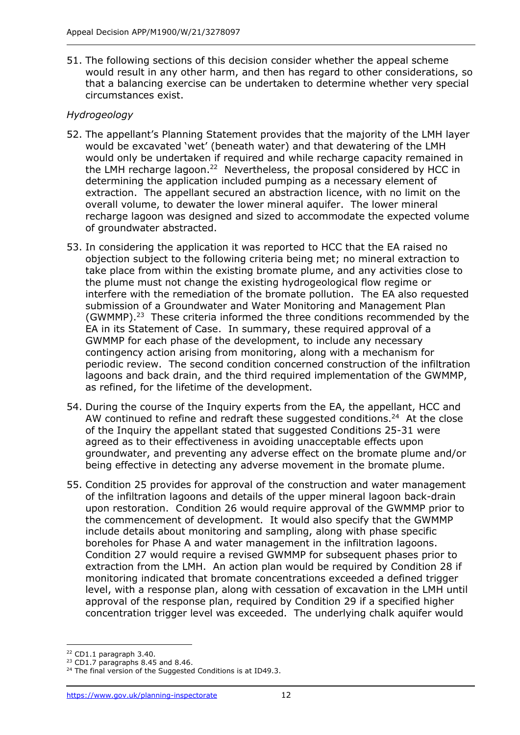51. The following sections of this decision consider whether the appeal scheme would result in any other harm, and then has regard to other considerations, so that a balancing exercise can be undertaken to determine whether very special circumstances exist.

# *Hydrogeology*

- 52. The appellant's Planning Statement provides that the majority of the LMH layer would be excavated 'wet' (beneath water) and that dewatering of the LMH would only be undertaken if required and while recharge capacity remained in the LMH recharge lagoon.<sup>22</sup> Nevertheless, the proposal considered by HCC in determining the application included pumping as a necessary element of extraction. The appellant secured an abstraction licence, with no limit on the overall volume, to dewater the lower mineral aquifer. The lower mineral recharge lagoon was designed and sized to accommodate the expected volume of groundwater abstracted.
- 53. In considering the application it was reported to HCC that the EA raised no objection subject to the following criteria being met; no mineral extraction to take place from within the existing bromate plume, and any activities close to the plume must not change the existing hydrogeological flow regime or interfere with the remediation of the bromate pollution. The EA also requested submission of a Groundwater and Water Monitoring and Management Plan (GWMMP). 23 These criteria informed the three conditions recommended by the EA in its Statement of Case. In summary, these required approval of a GWMMP for each phase of the development, to include any necessary contingency action arising from monitoring, along with a mechanism for periodic review. The second condition concerned construction of the infiltration lagoons and back drain, and the third required implementation of the GWMMP, as refined, for the lifetime of the development.
- 54. During the course of the Inquiry experts from the EA, the appellant, HCC and AW continued to refine and redraft these suggested conditions. $24$  At the close of the Inquiry the appellant stated that suggested Conditions 25-31 were agreed as to their effectiveness in avoiding unacceptable effects upon groundwater, and preventing any adverse effect on the bromate plume and/or being effective in detecting any adverse movement in the bromate plume.
- 55. Condition 25 provides for approval of the construction and water management of the infiltration lagoons and details of the upper mineral lagoon back-drain upon restoration. Condition 26 would require approval of the GWMMP prior to the commencement of development. It would also specify that the GWMMP include details about monitoring and sampling, along with phase specific boreholes for Phase A and water management in the infiltration lagoons. Condition 27 would require a revised GWMMP for subsequent phases prior to extraction from the LMH. An action plan would be required by Condition 28 if monitoring indicated that bromate concentrations exceeded a defined trigger level, with a response plan, along with cessation of excavation in the LMH until approval of the response plan, required by Condition 29 if a specified higher concentration trigger level was exceeded. The underlying chalk aquifer would

<sup>22</sup> CD1.1 paragraph 3.40.

<sup>&</sup>lt;sup>23</sup> CD1.7 paragraphs 8.45 and 8.46.

<sup>&</sup>lt;sup>24</sup> The final version of the Suggested Conditions is at ID49.3.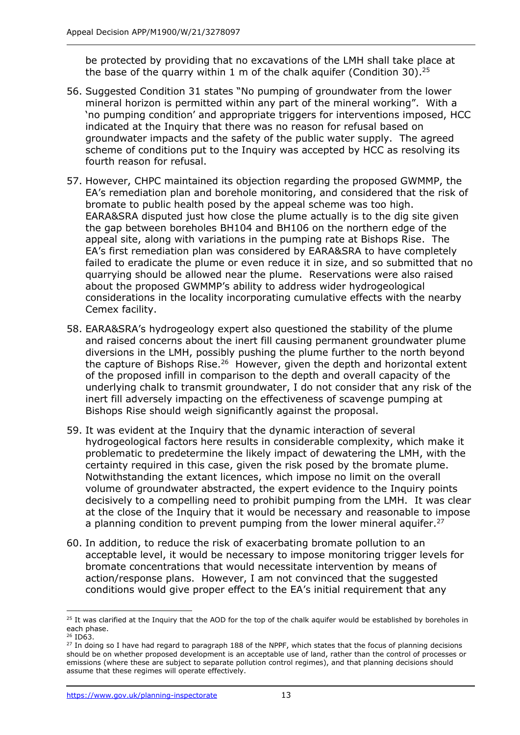be protected by providing that no excavations of the LMH shall take place at the base of the quarry within 1 m of the chalk aquifer (Condition 30).<sup>25</sup>

- 56. Suggested Condition 31 states "No pumping of groundwater from the lower mineral horizon is permitted within any part of the mineral working". With a 'no pumping condition' and appropriate triggers for interventions imposed, HCC indicated at the Inquiry that there was no reason for refusal based on groundwater impacts and the safety of the public water supply. The agreed scheme of conditions put to the Inquiry was accepted by HCC as resolving its fourth reason for refusal.
- 57. However, CHPC maintained its objection regarding the proposed GWMMP, the EA's remediation plan and borehole monitoring, and considered that the risk of bromate to public health posed by the appeal scheme was too high. EARA&SRA disputed just how close the plume actually is to the dig site given the gap between boreholes BH104 and BH106 on the northern edge of the appeal site, along with variations in the pumping rate at Bishops Rise. The EA's first remediation plan was considered by EARA&SRA to have completely failed to eradicate the plume or even reduce it in size, and so submitted that no quarrying should be allowed near the plume. Reservations were also raised about the proposed GWMMP's ability to address wider hydrogeological considerations in the locality incorporating cumulative effects with the nearby Cemex facility.
- 58. EARA&SRA's hydrogeology expert also questioned the stability of the plume and raised concerns about the inert fill causing permanent groundwater plume diversions in the LMH, possibly pushing the plume further to the north beyond the capture of Bishops Rise.<sup>26</sup> However, given the depth and horizontal extent of the proposed infill in comparison to the depth and overall capacity of the underlying chalk to transmit groundwater, I do not consider that any risk of the inert fill adversely impacting on the effectiveness of scavenge pumping at Bishops Rise should weigh significantly against the proposal.
- 59. It was evident at the Inquiry that the dynamic interaction of several hydrogeological factors here results in considerable complexity, which make it problematic to predetermine the likely impact of dewatering the LMH, with the certainty required in this case, given the risk posed by the bromate plume. Notwithstanding the extant licences, which impose no limit on the overall volume of groundwater abstracted, the expert evidence to the Inquiry points decisively to a compelling need to prohibit pumping from the LMH. It was clear at the close of the Inquiry that it would be necessary and reasonable to impose a planning condition to prevent pumping from the lower mineral aquifer.<sup>27</sup>
- 60. In addition, to reduce the risk of exacerbating bromate pollution to an acceptable level, it would be necessary to impose monitoring trigger levels for bromate concentrations that would necessitate intervention by means of action/response plans. However, I am not convinced that the suggested conditions would give proper effect to the EA's initial requirement that any

<sup>&</sup>lt;sup>25</sup> It was clarified at the Inquiry that the AOD for the top of the chalk aquifer would be established by boreholes in each phase.

 $26$  ID63.

<sup>&</sup>lt;sup>27</sup> In doing so I have had regard to paragraph 188 of the NPPF, which states that the focus of planning decisions should be on whether proposed development is an acceptable use of land, rather than the control of processes or emissions (where these are subject to separate pollution control regimes), and that planning decisions should assume that these regimes will operate effectively.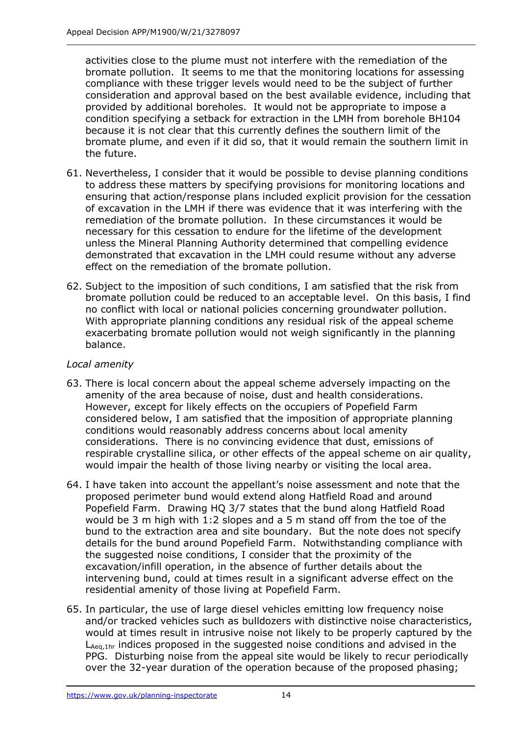activities close to the plume must not interfere with the remediation of the bromate pollution. It seems to me that the monitoring locations for assessing compliance with these trigger levels would need to be the subject of further consideration and approval based on the best available evidence, including that provided by additional boreholes. It would not be appropriate to impose a condition specifying a setback for extraction in the LMH from borehole BH104 because it is not clear that this currently defines the southern limit of the bromate plume, and even if it did so, that it would remain the southern limit in the future.

- 61. Nevertheless, I consider that it would be possible to devise planning conditions to address these matters by specifying provisions for monitoring locations and ensuring that action/response plans included explicit provision for the cessation of excavation in the LMH if there was evidence that it was interfering with the remediation of the bromate pollution. In these circumstances it would be necessary for this cessation to endure for the lifetime of the development unless the Mineral Planning Authority determined that compelling evidence demonstrated that excavation in the LMH could resume without any adverse effect on the remediation of the bromate pollution.
- 62. Subject to the imposition of such conditions, I am satisfied that the risk from bromate pollution could be reduced to an acceptable level. On this basis, I find no conflict with local or national policies concerning groundwater pollution. With appropriate planning conditions any residual risk of the appeal scheme exacerbating bromate pollution would not weigh significantly in the planning balance.

## *Local amenity*

- 63. There is local concern about the appeal scheme adversely impacting on the amenity of the area because of noise, dust and health considerations. However, except for likely effects on the occupiers of Popefield Farm considered below, I am satisfied that the imposition of appropriate planning conditions would reasonably address concerns about local amenity considerations. There is no convincing evidence that dust, emissions of respirable crystalline silica, or other effects of the appeal scheme on air quality, would impair the health of those living nearby or visiting the local area.
- 64. I have taken into account the appellant's noise assessment and note that the proposed perimeter bund would extend along Hatfield Road and around Popefield Farm. Drawing HQ 3/7 states that the bund along Hatfield Road would be 3 m high with 1:2 slopes and a 5 m stand off from the toe of the bund to the extraction area and site boundary. But the note does not specify details for the bund around Popefield Farm. Notwithstanding compliance with the suggested noise conditions, I consider that the proximity of the excavation/infill operation, in the absence of further details about the intervening bund, could at times result in a significant adverse effect on the residential amenity of those living at Popefield Farm.
- 65. In particular, the use of large diesel vehicles emitting low frequency noise and/or tracked vehicles such as bulldozers with distinctive noise characteristics, would at times result in intrusive noise not likely to be properly captured by the LAeq,1hr indices proposed in the suggested noise conditions and advised in the PPG. Disturbing noise from the appeal site would be likely to recur periodically over the 32-year duration of the operation because of the proposed phasing;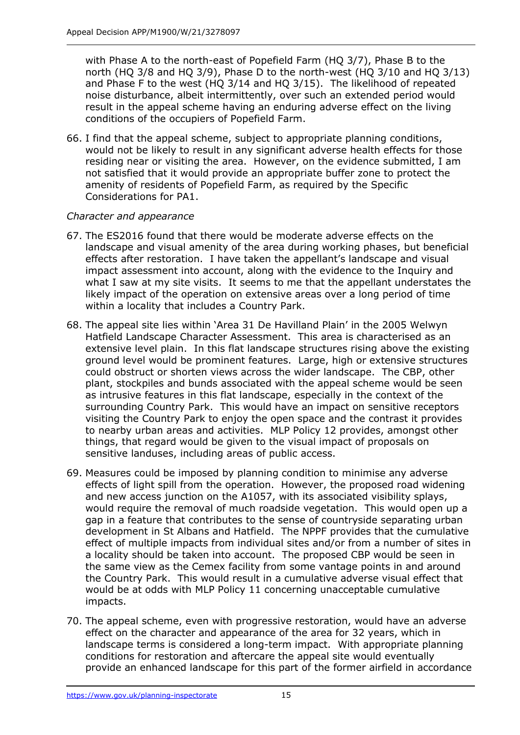with Phase A to the north-east of Popefield Farm (HQ 3/7), Phase B to the north (HQ 3/8 and HQ 3/9), Phase D to the north-west (HQ 3/10 and HQ 3/13) and Phase F to the west (HQ 3/14 and HQ 3/15). The likelihood of repeated noise disturbance, albeit intermittently, over such an extended period would result in the appeal scheme having an enduring adverse effect on the living conditions of the occupiers of Popefield Farm.

66. I find that the appeal scheme, subject to appropriate planning conditions, would not be likely to result in any significant adverse health effects for those residing near or visiting the area. However, on the evidence submitted, I am not satisfied that it would provide an appropriate buffer zone to protect the amenity of residents of Popefield Farm, as required by the Specific Considerations for PA1.

# *Character and appearance*

- 67. The ES2016 found that there would be moderate adverse effects on the landscape and visual amenity of the area during working phases, but beneficial effects after restoration. I have taken the appellant's landscape and visual impact assessment into account, along with the evidence to the Inquiry and what I saw at my site visits. It seems to me that the appellant understates the likely impact of the operation on extensive areas over a long period of time within a locality that includes a Country Park.
- 68. The appeal site lies within 'Area 31 De Havilland Plain' in the 2005 Welwyn Hatfield Landscape Character Assessment. This area is characterised as an extensive level plain. In this flat landscape structures rising above the existing ground level would be prominent features. Large, high or extensive structures could obstruct or shorten views across the wider landscape. The CBP, other plant, stockpiles and bunds associated with the appeal scheme would be seen as intrusive features in this flat landscape, especially in the context of the surrounding Country Park. This would have an impact on sensitive receptors visiting the Country Park to enjoy the open space and the contrast it provides to nearby urban areas and activities. MLP Policy 12 provides, amongst other things, that regard would be given to the visual impact of proposals on sensitive landuses, including areas of public access.
- 69. Measures could be imposed by planning condition to minimise any adverse effects of light spill from the operation. However, the proposed road widening and new access junction on the A1057, with its associated visibility splays, would require the removal of much roadside vegetation. This would open up a gap in a feature that contributes to the sense of countryside separating urban development in St Albans and Hatfield. The NPPF provides that the cumulative effect of multiple impacts from individual sites and/or from a number of sites in a locality should be taken into account. The proposed CBP would be seen in the same view as the Cemex facility from some vantage points in and around the Country Park. This would result in a cumulative adverse visual effect that would be at odds with MLP Policy 11 concerning unacceptable cumulative impacts.
- 70. The appeal scheme, even with progressive restoration, would have an adverse effect on the character and appearance of the area for 32 years, which in landscape terms is considered a long-term impact. With appropriate planning conditions for restoration and aftercare the appeal site would eventually provide an enhanced landscape for this part of the former airfield in accordance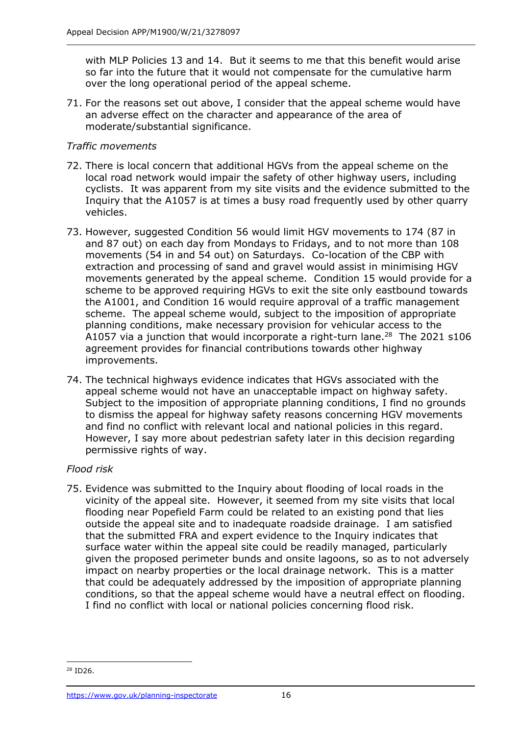with MLP Policies 13 and 14. But it seems to me that this benefit would arise so far into the future that it would not compensate for the cumulative harm over the long operational period of the appeal scheme.

71. For the reasons set out above, I consider that the appeal scheme would have an adverse effect on the character and appearance of the area of moderate/substantial significance.

## *Traffic movements*

- 72. There is local concern that additional HGVs from the appeal scheme on the local road network would impair the safety of other highway users, including cyclists. It was apparent from my site visits and the evidence submitted to the Inquiry that the A1057 is at times a busy road frequently used by other quarry vehicles.
- 73. However, suggested Condition 56 would limit HGV movements to 174 (87 in and 87 out) on each day from Mondays to Fridays, and to not more than 108 movements (54 in and 54 out) on Saturdays. Co-location of the CBP with extraction and processing of sand and gravel would assist in minimising HGV movements generated by the appeal scheme. Condition 15 would provide for a scheme to be approved requiring HGVs to exit the site only eastbound towards the A1001, and Condition 16 would require approval of a traffic management scheme. The appeal scheme would, subject to the imposition of appropriate planning conditions, make necessary provision for vehicular access to the A1057 via a junction that would incorporate a right-turn lane.<sup>28</sup> The 2021 s106 agreement provides for financial contributions towards other highway improvements.
- 74. The technical highways evidence indicates that HGVs associated with the appeal scheme would not have an unacceptable impact on highway safety. Subject to the imposition of appropriate planning conditions, I find no grounds to dismiss the appeal for highway safety reasons concerning HGV movements and find no conflict with relevant local and national policies in this regard. However, I say more about pedestrian safety later in this decision regarding permissive rights of way.

# *Flood risk*

75. Evidence was submitted to the Inquiry about flooding of local roads in the vicinity of the appeal site. However, it seemed from my site visits that local flooding near Popefield Farm could be related to an existing pond that lies outside the appeal site and to inadequate roadside drainage. I am satisfied that the submitted FRA and expert evidence to the Inquiry indicates that surface water within the appeal site could be readily managed, particularly given the proposed perimeter bunds and onsite lagoons, so as to not adversely impact on nearby properties or the local drainage network. This is a matter that could be adequately addressed by the imposition of appropriate planning conditions, so that the appeal scheme would have a neutral effect on flooding. I find no conflict with local or national policies concerning flood risk.

<sup>28</sup> ID26.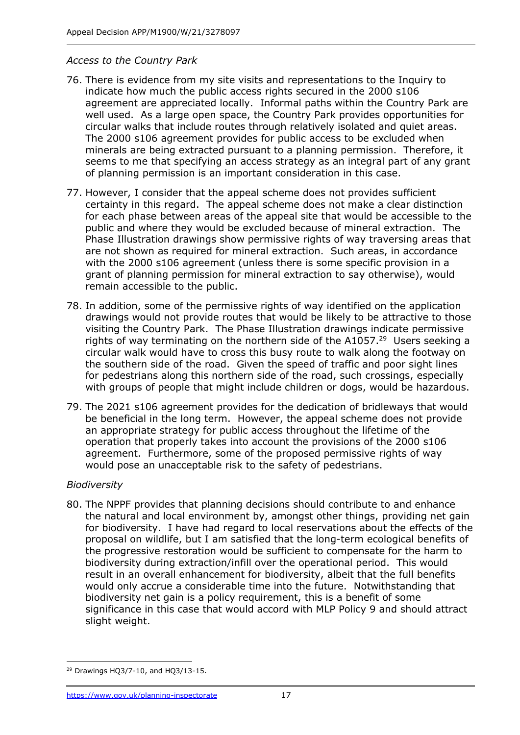#### *Access to the Country Park*

- 76. There is evidence from my site visits and representations to the Inquiry to indicate how much the public access rights secured in the 2000 s106 agreement are appreciated locally. Informal paths within the Country Park are well used. As a large open space, the Country Park provides opportunities for circular walks that include routes through relatively isolated and quiet areas. The 2000 s106 agreement provides for public access to be excluded when minerals are being extracted pursuant to a planning permission. Therefore, it seems to me that specifying an access strategy as an integral part of any grant of planning permission is an important consideration in this case.
- 77. However, I consider that the appeal scheme does not provides sufficient certainty in this regard. The appeal scheme does not make a clear distinction for each phase between areas of the appeal site that would be accessible to the public and where they would be excluded because of mineral extraction. The Phase Illustration drawings show permissive rights of way traversing areas that are not shown as required for mineral extraction. Such areas, in accordance with the 2000 s106 agreement (unless there is some specific provision in a grant of planning permission for mineral extraction to say otherwise), would remain accessible to the public.
- 78. In addition, some of the permissive rights of way identified on the application drawings would not provide routes that would be likely to be attractive to those visiting the Country Park. The Phase Illustration drawings indicate permissive rights of way terminating on the northern side of the  $A1057<sup>29</sup>$  Users seeking a circular walk would have to cross this busy route to walk along the footway on the southern side of the road. Given the speed of traffic and poor sight lines for pedestrians along this northern side of the road, such crossings, especially with groups of people that might include children or dogs, would be hazardous.
- 79. The 2021 s106 agreement provides for the dedication of bridleways that would be beneficial in the long term. However, the appeal scheme does not provide an appropriate strategy for public access throughout the lifetime of the operation that properly takes into account the provisions of the 2000 s106 agreement. Furthermore, some of the proposed permissive rights of way would pose an unacceptable risk to the safety of pedestrians.

#### *Biodiversity*

80. The NPPF provides that planning decisions should contribute to and enhance the natural and local environment by, amongst other things, providing net gain for biodiversity. I have had regard to local reservations about the effects of the proposal on wildlife, but I am satisfied that the long-term ecological benefits of the progressive restoration would be sufficient to compensate for the harm to biodiversity during extraction/infill over the operational period. This would result in an overall enhancement for biodiversity, albeit that the full benefits would only accrue a considerable time into the future. Notwithstanding that biodiversity net gain is a policy requirement, this is a benefit of some significance in this case that would accord with MLP Policy 9 and should attract slight weight.

<sup>29</sup> Drawings HQ3/7-10, and HQ3/13-15.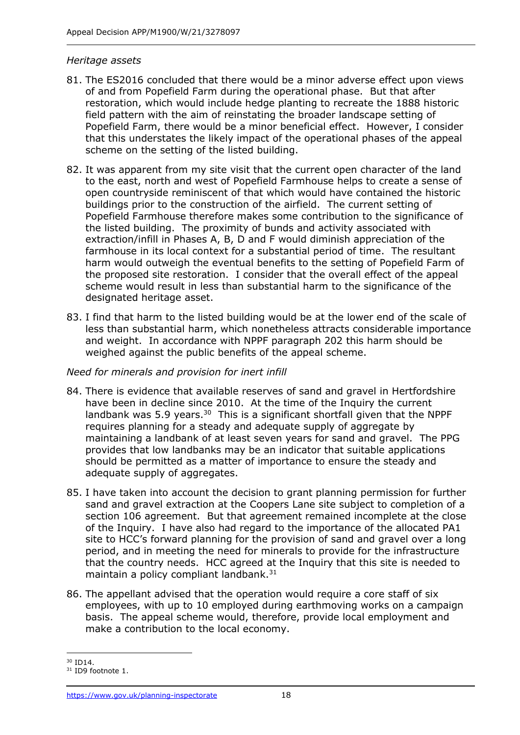#### *Heritage assets*

- 81. The ES2016 concluded that there would be a minor adverse effect upon views of and from Popefield Farm during the operational phase. But that after restoration, which would include hedge planting to recreate the 1888 historic field pattern with the aim of reinstating the broader landscape setting of Popefield Farm, there would be a minor beneficial effect. However, I consider that this understates the likely impact of the operational phases of the appeal scheme on the setting of the listed building.
- 82. It was apparent from my site visit that the current open character of the land to the east, north and west of Popefield Farmhouse helps to create a sense of open countryside reminiscent of that which would have contained the historic buildings prior to the construction of the airfield. The current setting of Popefield Farmhouse therefore makes some contribution to the significance of the listed building. The proximity of bunds and activity associated with extraction/infill in Phases A, B, D and F would diminish appreciation of the farmhouse in its local context for a substantial period of time. The resultant harm would outweigh the eventual benefits to the setting of Popefield Farm of the proposed site restoration. I consider that the overall effect of the appeal scheme would result in less than substantial harm to the significance of the designated heritage asset.
- 83. I find that harm to the listed building would be at the lower end of the scale of less than substantial harm, which nonetheless attracts considerable importance and weight. In accordance with NPPF paragraph 202 this harm should be weighed against the public benefits of the appeal scheme.

#### *Need for minerals and provision for inert infill*

- 84. There is evidence that available reserves of sand and gravel in Hertfordshire have been in decline since 2010. At the time of the Inquiry the current landbank was  $5.9$  years.<sup>30</sup> This is a significant shortfall given that the NPPF requires planning for a steady and adequate supply of aggregate by maintaining a landbank of at least seven years for sand and gravel. The PPG provides that low landbanks may be an indicator that suitable applications should be permitted as a matter of importance to ensure the steady and adequate supply of aggregates.
- 85. I have taken into account the decision to grant planning permission for further sand and gravel extraction at the Coopers Lane site subject to completion of a section 106 agreement. But that agreement remained incomplete at the close of the Inquiry. I have also had regard to the importance of the allocated PA1 site to HCC's forward planning for the provision of sand and gravel over a long period, and in meeting the need for minerals to provide for the infrastructure that the country needs. HCC agreed at the Inquiry that this site is needed to maintain a policy compliant landbank.<sup>31</sup>
- 86. The appellant advised that the operation would require a core staff of six employees, with up to 10 employed during earthmoving works on a campaign basis. The appeal scheme would, therefore, provide local employment and make a contribution to the local economy.

<sup>30</sup> ID14.

<sup>&</sup>lt;sup>31</sup> ID9 footnote 1.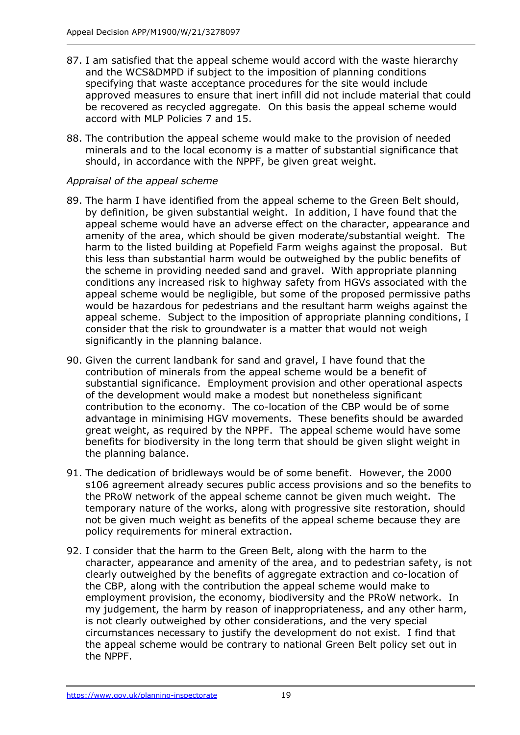- 87. I am satisfied that the appeal scheme would accord with the waste hierarchy and the WCS&DMPD if subject to the imposition of planning conditions specifying that waste acceptance procedures for the site would include approved measures to ensure that inert infill did not include material that could be recovered as recycled aggregate. On this basis the appeal scheme would accord with MLP Policies 7 and 15.
- 88. The contribution the appeal scheme would make to the provision of needed minerals and to the local economy is a matter of substantial significance that should, in accordance with the NPPF, be given great weight.

# *Appraisal of the appeal scheme*

- 89. The harm I have identified from the appeal scheme to the Green Belt should, by definition, be given substantial weight. In addition, I have found that the appeal scheme would have an adverse effect on the character, appearance and amenity of the area, which should be given moderate/substantial weight. The harm to the listed building at Popefield Farm weighs against the proposal. But this less than substantial harm would be outweighed by the public benefits of the scheme in providing needed sand and gravel. With appropriate planning conditions any increased risk to highway safety from HGVs associated with the appeal scheme would be negligible, but some of the proposed permissive paths would be hazardous for pedestrians and the resultant harm weighs against the appeal scheme. Subject to the imposition of appropriate planning conditions, I consider that the risk to groundwater is a matter that would not weigh significantly in the planning balance.
- 90. Given the current landbank for sand and gravel, I have found that the contribution of minerals from the appeal scheme would be a benefit of substantial significance. Employment provision and other operational aspects of the development would make a modest but nonetheless significant contribution to the economy. The co-location of the CBP would be of some advantage in minimising HGV movements. These benefits should be awarded great weight, as required by the NPPF. The appeal scheme would have some benefits for biodiversity in the long term that should be given slight weight in the planning balance.
- 91. The dedication of bridleways would be of some benefit. However, the 2000 s106 agreement already secures public access provisions and so the benefits to the PRoW network of the appeal scheme cannot be given much weight. The temporary nature of the works, along with progressive site restoration, should not be given much weight as benefits of the appeal scheme because they are policy requirements for mineral extraction.
- 92. I consider that the harm to the Green Belt, along with the harm to the character, appearance and amenity of the area, and to pedestrian safety, is not clearly outweighed by the benefits of aggregate extraction and co-location of the CBP, along with the contribution the appeal scheme would make to employment provision, the economy, biodiversity and the PRoW network. In my judgement, the harm by reason of inappropriateness, and any other harm, is not clearly outweighed by other considerations, and the very special circumstances necessary to justify the development do not exist. I find that the appeal scheme would be contrary to national Green Belt policy set out in the NPPF.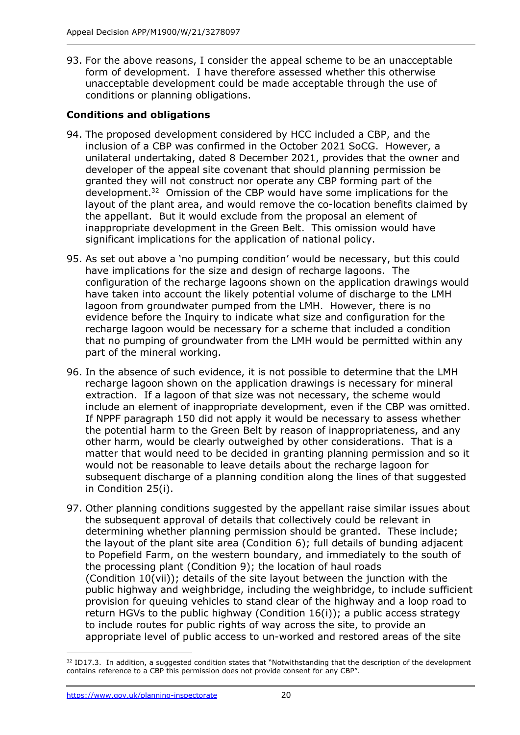93. For the above reasons, I consider the appeal scheme to be an unacceptable form of development. I have therefore assessed whether this otherwise unacceptable development could be made acceptable through the use of conditions or planning obligations.

# **Conditions and obligations**

- 94. The proposed development considered by HCC included a CBP, and the inclusion of a CBP was confirmed in the October 2021 SoCG. However, a unilateral undertaking, dated 8 December 2021, provides that the owner and developer of the appeal site covenant that should planning permission be granted they will not construct nor operate any CBP forming part of the development. 32 Omission of the CBP would have some implications for the layout of the plant area, and would remove the co-location benefits claimed by the appellant. But it would exclude from the proposal an element of inappropriate development in the Green Belt. This omission would have significant implications for the application of national policy.
- 95. As set out above a 'no pumping condition' would be necessary, but this could have implications for the size and design of recharge lagoons. The configuration of the recharge lagoons shown on the application drawings would have taken into account the likely potential volume of discharge to the LMH lagoon from groundwater pumped from the LMH. However, there is no evidence before the Inquiry to indicate what size and configuration for the recharge lagoon would be necessary for a scheme that included a condition that no pumping of groundwater from the LMH would be permitted within any part of the mineral working.
- 96. In the absence of such evidence, it is not possible to determine that the LMH recharge lagoon shown on the application drawings is necessary for mineral extraction. If a lagoon of that size was not necessary, the scheme would include an element of inappropriate development, even if the CBP was omitted. If NPPF paragraph 150 did not apply it would be necessary to assess whether the potential harm to the Green Belt by reason of inappropriateness, and any other harm, would be clearly outweighed by other considerations. That is a matter that would need to be decided in granting planning permission and so it would not be reasonable to leave details about the recharge lagoon for subsequent discharge of a planning condition along the lines of that suggested in Condition 25(i).
- 97. Other planning conditions suggested by the appellant raise similar issues about the subsequent approval of details that collectively could be relevant in determining whether planning permission should be granted. These include; the layout of the plant site area (Condition 6); full details of bunding adjacent to Popefield Farm, on the western boundary, and immediately to the south of the processing plant (Condition 9); the location of haul roads (Condition 10(vii)); details of the site layout between the junction with the public highway and weighbridge, including the weighbridge, to include sufficient provision for queuing vehicles to stand clear of the highway and a loop road to return HGVs to the public highway (Condition 16(i)); a public access strategy to include routes for public rights of way across the site, to provide an appropriate level of public access to un-worked and restored areas of the site

<sup>&</sup>lt;sup>32</sup> ID17.3. In addition, a suggested condition states that "Notwithstanding that the description of the development contains reference to a CBP this permission does not provide consent for any CBP".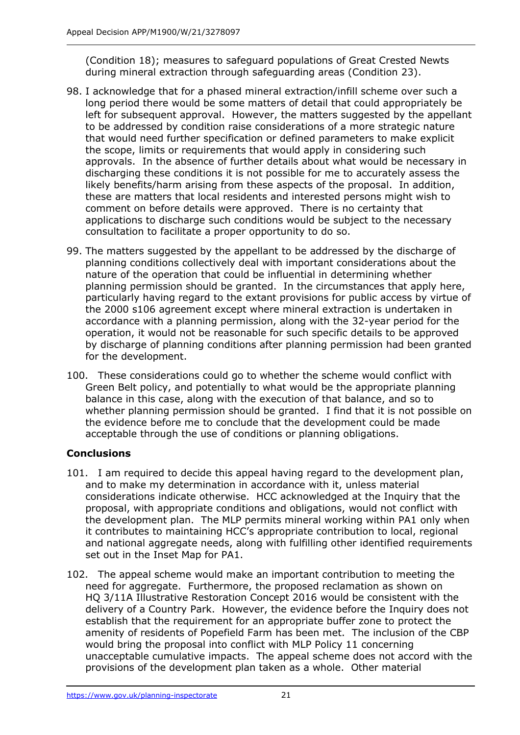(Condition 18); measures to safeguard populations of Great Crested Newts during mineral extraction through safeguarding areas (Condition 23).

- 98. I acknowledge that for a phased mineral extraction/infill scheme over such a long period there would be some matters of detail that could appropriately be left for subsequent approval. However, the matters suggested by the appellant to be addressed by condition raise considerations of a more strategic nature that would need further specification or defined parameters to make explicit the scope, limits or requirements that would apply in considering such approvals. In the absence of further details about what would be necessary in discharging these conditions it is not possible for me to accurately assess the likely benefits/harm arising from these aspects of the proposal. In addition, these are matters that local residents and interested persons might wish to comment on before details were approved. There is no certainty that applications to discharge such conditions would be subject to the necessary consultation to facilitate a proper opportunity to do so.
- 99. The matters suggested by the appellant to be addressed by the discharge of planning conditions collectively deal with important considerations about the nature of the operation that could be influential in determining whether planning permission should be granted. In the circumstances that apply here, particularly having regard to the extant provisions for public access by virtue of the 2000 s106 agreement except where mineral extraction is undertaken in accordance with a planning permission, along with the 32-year period for the operation, it would not be reasonable for such specific details to be approved by discharge of planning conditions after planning permission had been granted for the development.
- 100. These considerations could go to whether the scheme would conflict with Green Belt policy, and potentially to what would be the appropriate planning balance in this case, along with the execution of that balance, and so to whether planning permission should be granted. I find that it is not possible on the evidence before me to conclude that the development could be made acceptable through the use of conditions or planning obligations.

# **Conclusions**

- 101. I am required to decide this appeal having regard to the development plan, and to make my determination in accordance with it, unless material considerations indicate otherwise. HCC acknowledged at the Inquiry that the proposal, with appropriate conditions and obligations, would not conflict with the development plan. The MLP permits mineral working within PA1 only when it contributes to maintaining HCC's appropriate contribution to local, regional and national aggregate needs, along with fulfilling other identified requirements set out in the Inset Map for PA1.
- 102. The appeal scheme would make an important contribution to meeting the need for aggregate. Furthermore, the proposed reclamation as shown on HQ 3/11A Illustrative Restoration Concept 2016 would be consistent with the delivery of a Country Park. However, the evidence before the Inquiry does not establish that the requirement for an appropriate buffer zone to protect the amenity of residents of Popefield Farm has been met. The inclusion of the CBP would bring the proposal into conflict with MLP Policy 11 concerning unacceptable cumulative impacts. The appeal scheme does not accord with the provisions of the development plan taken as a whole. Other material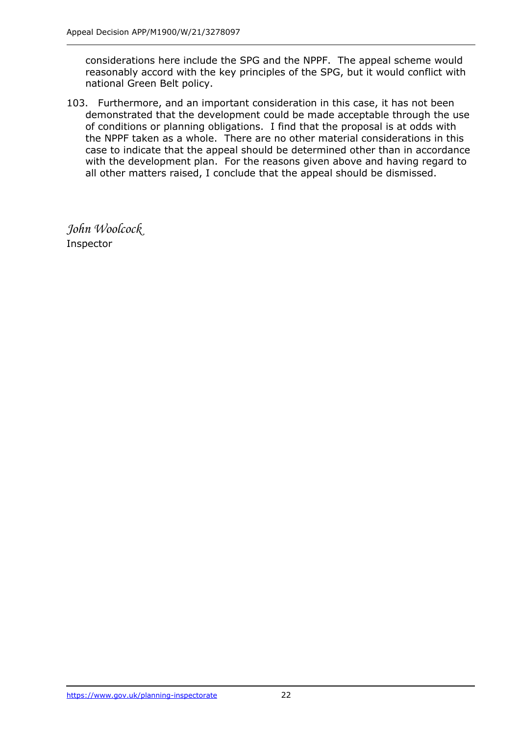considerations here include the SPG and the NPPF. The appeal scheme would reasonably accord with the key principles of the SPG, but it would conflict with national Green Belt policy.

103. Furthermore, and an important consideration in this case, it has not been demonstrated that the development could be made acceptable through the use of conditions or planning obligations. I find that the proposal is at odds with the NPPF taken as a whole. There are no other material considerations in this case to indicate that the appeal should be determined other than in accordance with the development plan. For the reasons given above and having regard to all other matters raised, I conclude that the appeal should be dismissed.

*John Woolcock* Inspector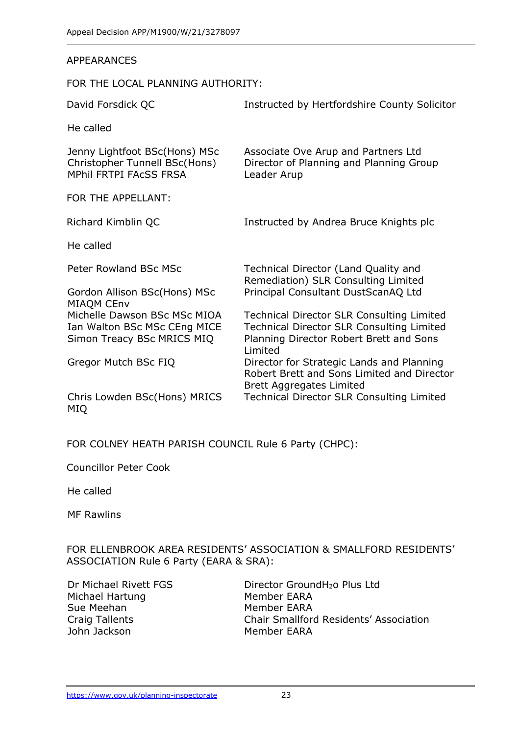#### APPEARANCES

FOR THE LOCAL PLANNING AUTHORITY:

| David Forsdick QC                                                                               | Instructed by Hertfordshire County Solicitor                                                                                                               |  |
|-------------------------------------------------------------------------------------------------|------------------------------------------------------------------------------------------------------------------------------------------------------------|--|
| He called                                                                                       |                                                                                                                                                            |  |
| Jenny Lightfoot BSc(Hons) MSc<br>Christopher Tunnell BSc(Hons)<br><b>MPhil FRTPI FACSS FRSA</b> | Associate Ove Arup and Partners Ltd<br>Director of Planning and Planning Group<br>Leader Arup                                                              |  |
| FOR THE APPELLANT:                                                                              |                                                                                                                                                            |  |
| Richard Kimblin QC                                                                              | Instructed by Andrea Bruce Knights plc                                                                                                                     |  |
| He called                                                                                       |                                                                                                                                                            |  |
| Peter Rowland BSc MSc<br>Gordon Allison BSc(Hons) MSc<br>MIAQM CEnv                             | Technical Director (Land Quality and<br>Remediation) SLR Consulting Limited<br>Principal Consultant DustScanAQ Ltd                                         |  |
| Michelle Dawson BSc MSc MIOA<br>Ian Walton BSc MSc CEng MICE<br>Simon Treacy BSc MRICS MIQ      | <b>Technical Director SLR Consulting Limited</b><br><b>Technical Director SLR Consulting Limited</b><br>Planning Director Robert Brett and Sons<br>Limited |  |
| Gregor Mutch BSc FIQ                                                                            | Director for Strategic Lands and Planning<br>Robert Brett and Sons Limited and Director<br>Brett Aggregates Limited                                        |  |
| Chris Lowden BSc(Hons) MRICS<br>MIQ                                                             | Technical Director SLR Consulting Limited                                                                                                                  |  |

FOR COLNEY HEATH PARISH COUNCIL Rule 6 Party (CHPC):

Councillor Peter Cook

He called

MF Rawlins

FOR ELLENBROOK AREA RESIDENTS' ASSOCIATION & SMALLFORD RESIDENTS' ASSOCIATION Rule 6 Party (EARA & SRA):

Michael Hartung Member EARA Sue Meehan Member EARA John Jackson Member EARA

Dr Michael Rivett FGS Director GroundH<sub>2</sub>o Plus Ltd Craig Tallents Chair Smallford Residents' Association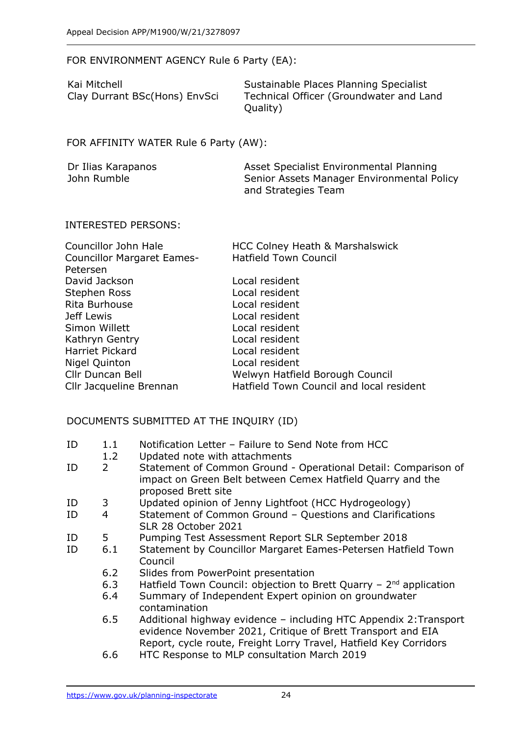FOR ENVIRONMENT AGENCY Rule 6 Party (EA):

| Kai Mitchell                  | Sustainable Places Planning Specialist  |
|-------------------------------|-----------------------------------------|
| Clay Durrant BSc(Hons) EnvSci | Technical Officer (Groundwater and Land |
|                               | Quality)                                |

## FOR AFFINITY WATER Rule 6 Party (AW):

| Dr Ilias Karapanos | Asset Specialist Environmental Planning    |
|--------------------|--------------------------------------------|
| John Rumble        | Senior Assets Manager Environmental Policy |
|                    | and Strategies Team                        |

#### INTERESTED PERSONS:

| Councillor John Hale              | HCC Colney Heath & Marshalswick          |
|-----------------------------------|------------------------------------------|
| <b>Councillor Margaret Eames-</b> | <b>Hatfield Town Council</b>             |
| Petersen                          |                                          |
| David Jackson                     | Local resident                           |
| Stephen Ross                      | Local resident                           |
| Rita Burhouse                     | Local resident                           |
| Jeff Lewis                        | Local resident                           |
| Simon Willett                     | Local resident                           |
| Kathryn Gentry                    | Local resident                           |
| Harriet Pickard                   | Local resident                           |
| Nigel Quinton                     | Local resident                           |
| <b>Cllr Duncan Bell</b>           | Welwyn Hatfield Borough Council          |
| Cllr Jacqueline Brennan           | Hatfield Town Council and local resident |

#### DOCUMENTS SUBMITTED AT THE INQUIRY (ID)

| Notification Letter - Failure to Send Note from HCC<br>ID |
|-----------------------------------------------------------|
|-----------------------------------------------------------|

- 1.2 Updated note with attachments
- ID 2 Statement of Common Ground Operational Detail: Comparison of impact on Green Belt between Cemex Hatfield Quarry and the proposed Brett site
- ID 3 Updated opinion of Jenny Lightfoot (HCC Hydrogeology)
- ID 4 Statement of Common Ground Questions and Clarifications SLR 28 October 2021
- ID 5 Pumping Test Assessment Report SLR September 2018
- ID 6.1 Statement by Councillor Margaret Eames-Petersen Hatfield Town Council
	- 6.2 Slides from PowerPoint presentation
	- 6.3 Hatfield Town Council: objection to Brett Quarry 2<sup>nd</sup> application
	- 6.4 Summary of Independent Expert opinion on groundwater contamination
	- 6.5 Additional highway evidence including HTC Appendix 2:Transport evidence November 2021, Critique of Brett Transport and EIA Report, cycle route, Freight Lorry Travel, Hatfield Key Corridors
	- 6.6 HTC Response to MLP consultation March 2019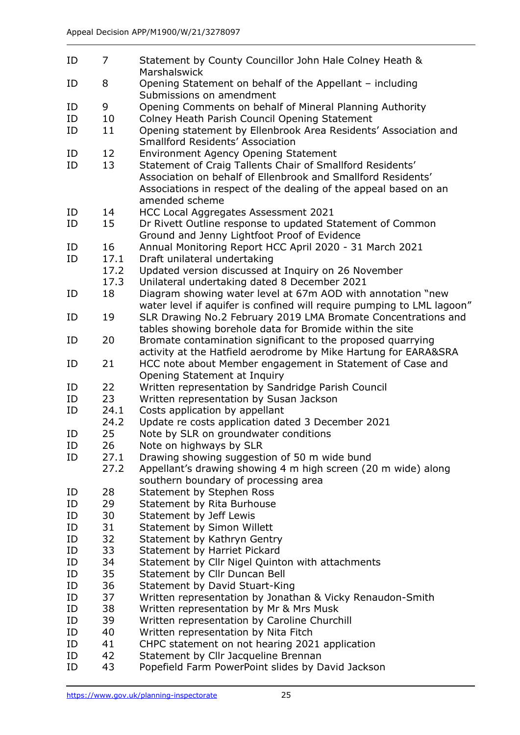| ID       | $\overline{7}$ | Statement by County Councillor John Hale Colney Heath &<br>Marshalswick              |
|----------|----------------|--------------------------------------------------------------------------------------|
| ID       | 8              | Opening Statement on behalf of the Appellant - including<br>Submissions on amendment |
| ID       | 9              | Opening Comments on behalf of Mineral Planning Authority                             |
| ID       | 10             | Colney Heath Parish Council Opening Statement                                        |
| ID       | 11             | Opening statement by Ellenbrook Area Residents' Association and                      |
|          |                | <b>Smallford Residents' Association</b>                                              |
| ID       | 12             | <b>Environment Agency Opening Statement</b>                                          |
| ID       | 13             | Statement of Craig Tallents Chair of Smallford Residents'                            |
|          |                | Association on behalf of Ellenbrook and Smallford Residents'                         |
|          |                | Associations in respect of the dealing of the appeal based on an                     |
|          |                | amended scheme                                                                       |
| ID       | 14             | HCC Local Aggregates Assessment 2021                                                 |
| ID       | 15             | Dr Rivett Outline response to updated Statement of Common                            |
|          |                | Ground and Jenny Lightfoot Proof of Evidence                                         |
| ID       | 16             | Annual Monitoring Report HCC April 2020 - 31 March 2021                              |
| ID       | 17.1           | Draft unilateral undertaking                                                         |
|          | 17.2           | Updated version discussed at Inquiry on 26 November                                  |
|          | 17.3           | Unilateral undertaking dated 8 December 2021                                         |
| ID       | 18             | Diagram showing water level at 67m AOD with annotation "new                          |
|          |                | water level if aquifer is confined will require pumping to LML lagoon'               |
| ID       | 19             | SLR Drawing No.2 February 2019 LMA Bromate Concentrations and                        |
|          |                | tables showing borehole data for Bromide within the site                             |
| ID       | 20             | Bromate contamination significant to the proposed quarrying                          |
|          |                | activity at the Hatfield aerodrome by Mike Hartung for EARA&SRA                      |
| ID       | 21             | HCC note about Member engagement in Statement of Case and                            |
|          |                | Opening Statement at Inquiry                                                         |
| ID       | 22             | Written representation by Sandridge Parish Council                                   |
| ID       | 23             | Written representation by Susan Jackson                                              |
| ID       | 24.1           | Costs application by appellant                                                       |
|          | 24.2           | Update re costs application dated 3 December 2021                                    |
| ID       | 25             | Note by SLR on groundwater conditions                                                |
| ID       | 26             | Note on highways by SLR                                                              |
| ID       | 27.1           | Drawing showing suggestion of 50 m wide bund                                         |
|          | 27.2           | Appellant's drawing showing 4 m high screen (20 m wide) along                        |
|          |                | southern boundary of processing area                                                 |
| ID       | 28             | Statement by Stephen Ross<br><b>Statement by Rita Burhouse</b>                       |
| ID<br>ID | 29<br>30       | Statement by Jeff Lewis                                                              |
| ID       | 31             | <b>Statement by Simon Willett</b>                                                    |
| ID       | 32             | Statement by Kathryn Gentry                                                          |
| ID       | 33             | Statement by Harriet Pickard                                                         |
| ID       | 34             | Statement by Cllr Nigel Quinton with attachments                                     |
| ID       | 35             | Statement by Cllr Duncan Bell                                                        |
| ID       | 36             | Statement by David Stuart-King                                                       |
| ID       | 37             | Written representation by Jonathan & Vicky Renaudon-Smith                            |
| ID       | 38             | Written representation by Mr & Mrs Musk                                              |
| ID       | 39             | Written representation by Caroline Churchill                                         |
| ID       | 40             | Written representation by Nita Fitch                                                 |
| ID       | 41             | CHPC statement on not hearing 2021 application                                       |
| ID       | 42             | Statement by Cllr Jacqueline Brennan                                                 |
| ID       | 43             | Popefield Farm PowerPoint slides by David Jackson                                    |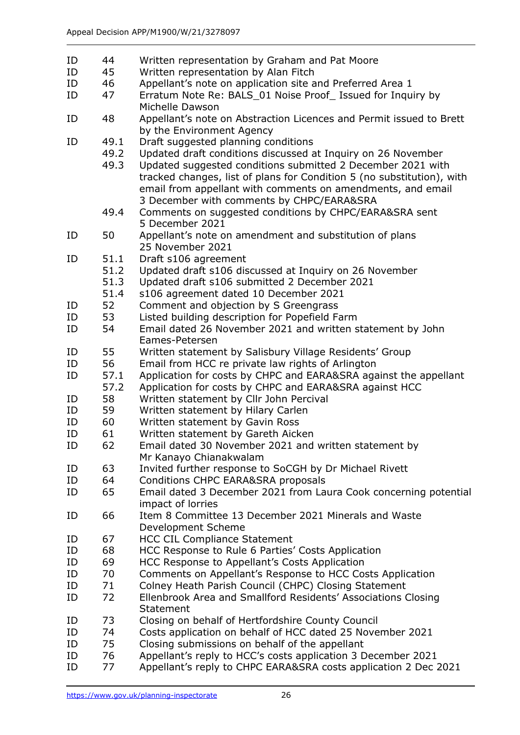ID 44 Written representation by Graham and Pat Moore ID 45 Written representation by Alan Fitch ID 46 Appellant's note on application site and Preferred Area 1 ID 47 Erratum Note Re: BALS\_01 Noise Proof\_ Issued for Inquiry by Michelle Dawson ID 48 Appellant's note on Abstraction Licences and Permit issued to Brett by the Environment Agency ID 49.1 Draft suggested planning conditions 49.2 Updated draft conditions discussed at Inquiry on 26 November 49.3 Updated suggested conditions submitted 2 December 2021 with tracked changes, list of plans for Condition 5 (no substitution), with email from appellant with comments on amendments, and email 3 December with comments by CHPC/EARA&SRA 49.4 Comments on suggested conditions by CHPC/EARA&SRA sent 5 December 2021 ID 50 Appellant's note on amendment and substitution of plans 25 November 2021 ID 51.1 Draft s106 agreement 51.2 Updated draft s106 discussed at Inquiry on 26 November 51.3 Updated draft s106 submitted 2 December 2021 51.4 s106 agreement dated 10 December 2021 ID 52 Comment and objection by S Greengrass ID 53 Listed building description for Popefield Farm ID 54 Email dated 26 November 2021 and written statement by John Eames-Petersen ID 55 Written statement by Salisbury Village Residents' Group ID 56 Email from HCC re private law rights of Arlington ID 57.1 Application for costs by CHPC and EARA&SRA against the appellant 57.2 Application for costs by CHPC and EARA&SRA against HCC ID 58 Written statement by Cllr John Percival ID 59 Written statement by Hilary Carlen ID 60 Written statement by Gavin Ross ID 61 Written statement by Gareth Aicken ID 62 Email dated 30 November 2021 and written statement by Mr Kanayo Chianakwalam ID 63 Invited further response to SoCGH by Dr Michael Rivett ID 64 Conditions CHPC EARA&SRA proposals ID 65 Email dated 3 December 2021 from Laura Cook concerning potential impact of lorries ID 66 Item 8 Committee 13 December 2021 Minerals and Waste Development Scheme ID 67 HCC CIL Compliance Statement ID 68 HCC Response to Rule 6 Parties' Costs Application ID 69 HCC Response to Appellant's Costs Application ID 70 Comments on Appellant's Response to HCC Costs Application ID 71 Colney Heath Parish Council (CHPC) Closing Statement ID 72 Ellenbrook Area and Smallford Residents' Associations Closing **Statement** ID 73 Closing on behalf of Hertfordshire County Council ID 74 Costs application on behalf of HCC dated 25 November 2021 ID 75 Closing submissions on behalf of the appellant ID 76 Appellant's reply to HCC's costs application 3 December 2021 ID 77 Appellant's reply to CHPC EARA&SRA costs application 2 Dec 2021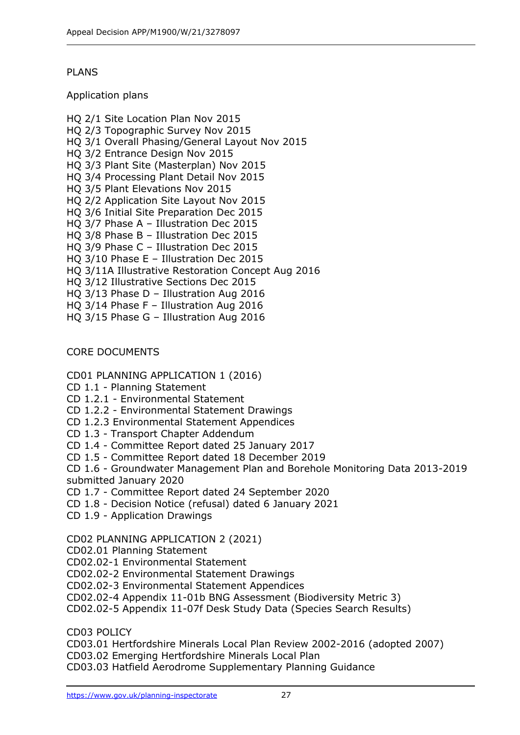# PLANS

Application plans

- HQ 2/1 Site Location Plan Nov 2015 HQ 2/3 Topographic Survey Nov 2015 HQ 3/1 Overall Phasing/General Layout Nov 2015 HQ 3/2 Entrance Design Nov 2015 HQ 3/3 Plant Site (Masterplan) Nov 2015 HQ 3/4 Processing Plant Detail Nov 2015 HQ 3/5 Plant Elevations Nov 2015 HQ 2/2 Application Site Layout Nov 2015 HQ 3/6 Initial Site Preparation Dec 2015 HQ 3/7 Phase A – Illustration Dec 2015 HQ 3/8 Phase B – Illustration Dec 2015 HQ 3/9 Phase C – Illustration Dec 2015 HQ 3/10 Phase E – Illustration Dec 2015 HQ 3/11A Illustrative Restoration Concept Aug 2016 HQ 3/12 Illustrative Sections Dec 2015 HQ 3/13 Phase D – Illustration Aug 2016 HQ 3/14 Phase F – Illustration Aug 2016
- HQ 3/15 Phase G Illustration Aug 2016

## CORE DOCUMENTS

#### CD01 PLANNING APPLICATION 1 (2016)

- CD 1.1 Planning Statement
- CD 1.2.1 Environmental Statement
- CD 1.2.2 Environmental Statement Drawings
- CD 1.2.3 Environmental Statement Appendices
- CD 1.3 Transport Chapter Addendum
- CD 1.4 Committee Report dated 25 January 2017
- CD 1.5 Committee Report dated 18 December 2019

CD 1.6 - Groundwater Management Plan and Borehole Monitoring Data 2013-2019 submitted January 2020

- CD 1.7 Committee Report dated 24 September 2020
- CD 1.8 Decision Notice (refusal) dated 6 January 2021
- CD 1.9 Application Drawings

# CD02 PLANNING APPLICATION 2 (2021)

- CD02.01 Planning Statement
- CD02.02-1 Environmental Statement
- CD02.02-2 Environmental Statement Drawings
- CD02.02-3 Environmental Statement Appendices
- CD02.02-4 Appendix 11-01b BNG Assessment (Biodiversity Metric 3)
- CD02.02-5 Appendix 11-07f Desk Study Data (Species Search Results)

CD03 POLICY

CD03.01 Hertfordshire Minerals Local Plan Review 2002-2016 (adopted 2007)

CD03.02 Emerging Hertfordshire Minerals Local Plan

CD03.03 Hatfield Aerodrome Supplementary Planning Guidance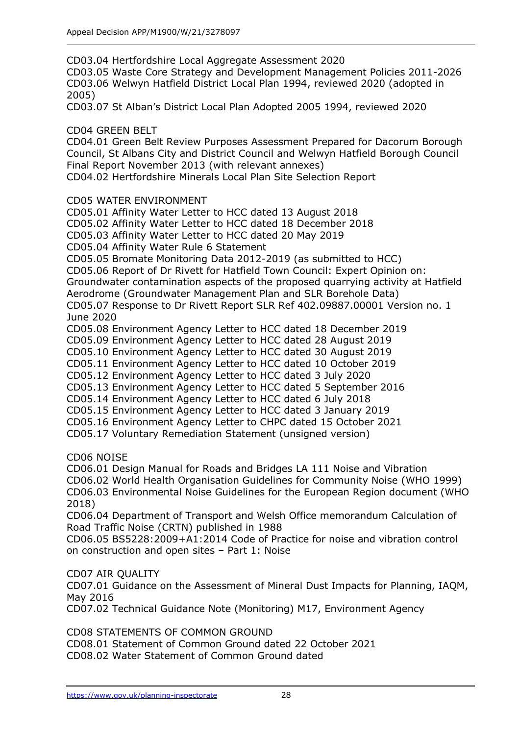CD03.04 Hertfordshire Local Aggregate Assessment 2020 CD03.05 Waste Core Strategy and Development Management Policies 2011-2026 CD03.06 Welwyn Hatfield District Local Plan 1994, reviewed 2020 (adopted in 2005) CD03.07 St Alban's District Local Plan Adopted 2005 1994, reviewed 2020 CD04 GREEN BELT CD04.01 Green Belt Review Purposes Assessment Prepared for Dacorum Borough Council, St Albans City and District Council and Welwyn Hatfield Borough Council Final Report November 2013 (with relevant annexes) CD04.02 Hertfordshire Minerals Local Plan Site Selection Report CD05 WATER ENVIRONMENT CD05.01 Affinity Water Letter to HCC dated 13 August 2018 CD05.02 Affinity Water Letter to HCC dated 18 December 2018 CD05.03 Affinity Water Letter to HCC dated 20 May 2019 CD05.04 Affinity Water Rule 6 Statement CD05.05 Bromate Monitoring Data 2012-2019 (as submitted to HCC) CD05.06 Report of Dr Rivett for Hatfield Town Council: Expert Opinion on: Groundwater contamination aspects of the proposed quarrying activity at Hatfield Aerodrome (Groundwater Management Plan and SLR Borehole Data) CD05.07 Response to Dr Rivett Report SLR Ref 402.09887.00001 Version no. 1 June 2020 CD05.08 Environment Agency Letter to HCC dated 18 December 2019 CD05.09 Environment Agency Letter to HCC dated 28 August 2019 CD05.10 Environment Agency Letter to HCC dated 30 August 2019 CD05.11 Environment Agency Letter to HCC dated 10 October 2019 CD05.12 Environment Agency Letter to HCC dated 3 July 2020 CD05.13 Environment Agency Letter to HCC dated 5 September 2016 CD05.14 Environment Agency Letter to HCC dated 6 July 2018 CD05.15 Environment Agency Letter to HCC dated 3 January 2019 CD05.16 Environment Agency Letter to CHPC dated 15 October 2021 CD05.17 Voluntary Remediation Statement (unsigned version) CD06 NOISE CD06.01 Design Manual for Roads and Bridges LA 111 Noise and Vibration CD06.02 World Health Organisation Guidelines for Community Noise (WHO 1999)

CD06.03 Environmental Noise Guidelines for the European Region document (WHO 2018)

CD06.04 Department of Transport and Welsh Office memorandum Calculation of Road Traffic Noise (CRTN) published in 1988

CD06.05 BS5228:2009+A1:2014 Code of Practice for noise and vibration control on construction and open sites – Part 1: Noise

CD07 AIR QUALITY

CD07.01 Guidance on the Assessment of Mineral Dust Impacts for Planning, IAQM, May 2016

CD07.02 Technical Guidance Note (Monitoring) M17, Environment Agency

CD08 STATEMENTS OF COMMON GROUND

CD08.01 Statement of Common Ground dated 22 October 2021 CD08.02 Water Statement of Common Ground dated